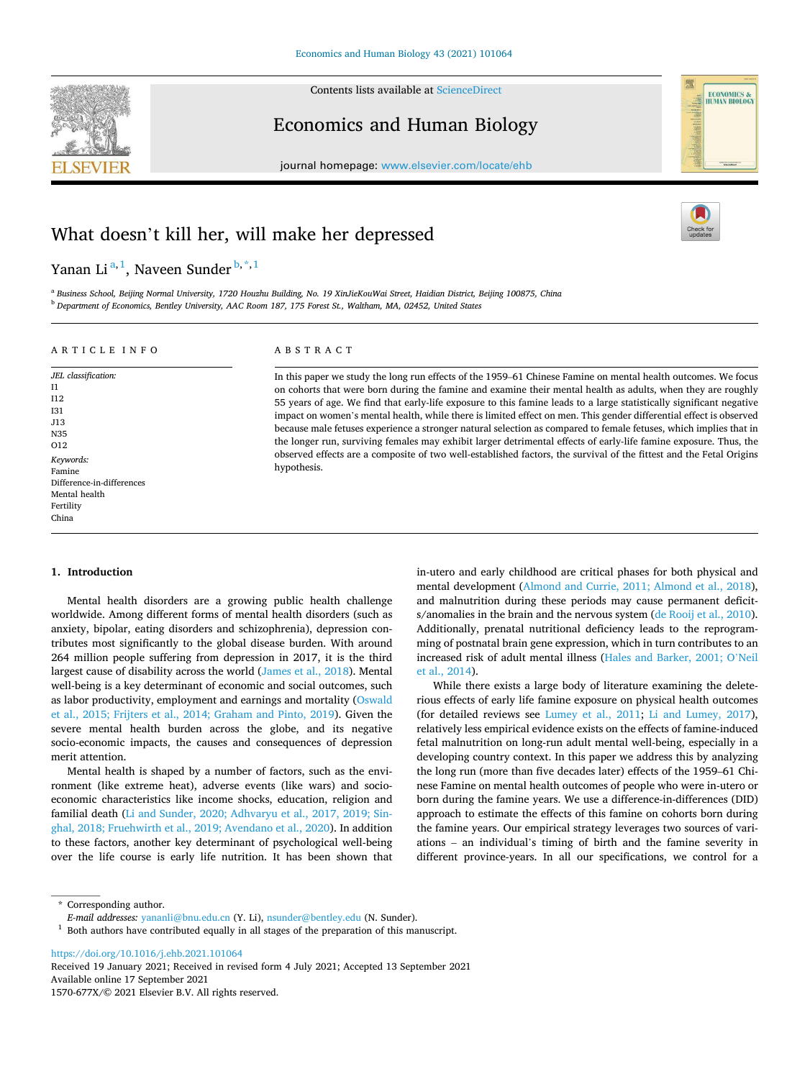

Contents lists available at [ScienceDirect](www.sciencedirect.com/science/journal/1570677X)

Economics and Human Biology

journal homepage: [www.elsevier.com/locate/ehb](https://www.elsevier.com/locate/ehb)



# What doesn't kill her, will make her depressed

Yanan Li<sup>a, 1</sup>, Naveen Sunder <sup>b,\*, 1</sup>

a *Business School, Beijing Normal University, 1720 Houzhu Building, No. 19 XinJieKouWai Street, Haidian District, Beijing 100875, China*  <sup>b</sup> *Department of Economics, Bentley University, AAC Room 187, 175 Forest St., Waltham, MA, 02452, United States* 

ABSTRACT

hypothesis.

# A R T I C L E I N F O

*JEL classification:*  I1 I12 I31 J13 N35 O12 *Keywords:*  Famine Difference-in-differences Mental health Fertility China

# **1. Introduction**

Mental health disorders are a growing public health challenge worldwide. Among different forms of mental health disorders (such as anxiety, bipolar, eating disorders and schizophrenia), depression contributes most significantly to the global disease burden. With around 264 million people suffering from depression in 2017, it is the third largest cause of disability across the world ([James et al., 2018\)](#page-14-0). Mental well-being is a key determinant of economic and social outcomes, such as labor productivity, employment and earnings and mortality ([Oswald](#page-14-0)  [et al., 2015; Frijters et al., 2014; Graham and Pinto, 2019](#page-14-0)). Given the severe mental health burden across the globe, and its negative socio-economic impacts, the causes and consequences of depression merit attention.

Mental health is shaped by a number of factors, such as the environment (like extreme heat), adverse events (like wars) and socioeconomic characteristics like income shocks, education, religion and familial death ([Li and Sunder, 2020; Adhvaryu et al., 2017, 2019; Sin](#page-14-0)[ghal, 2018; Fruehwirth et al., 2019; Avendano et al., 2020\)](#page-14-0). In addition to these factors, another key determinant of psychological well-being over the life course is early life nutrition. It has been shown that

in-utero and early childhood are critical phases for both physical and mental development ([Almond and Currie, 2011; Almond et al., 2018](#page-14-0)), and malnutrition during these periods may cause permanent deficits/anomalies in the brain and the nervous system ([de Rooij et al., 2010](#page-14-0)). Additionally, prenatal nutritional deficiency leads to the reprogramming of postnatal brain gene expression, which in turn contributes to an increased risk of adult mental illness ([Hales and Barker, 2001; O](#page-14-0)'Neil [et al., 2014\)](#page-14-0).

In this paper we study the long run effects of the 1959–61 Chinese Famine on mental health outcomes. We focus on cohorts that were born during the famine and examine their mental health as adults, when they are roughly 55 years of age. We find that early-life exposure to this famine leads to a large statistically significant negative impact on women's mental health, while there is limited effect on men. This gender differential effect is observed because male fetuses experience a stronger natural selection as compared to female fetuses, which implies that in the longer run, surviving females may exhibit larger detrimental effects of early-life famine exposure. Thus, the observed effects are a composite of two well-established factors, the survival of the fittest and the Fetal Origins

> While there exists a large body of literature examining the deleterious effects of early life famine exposure on physical health outcomes (for detailed reviews see [Lumey et al., 2011;](#page-14-0) [Li and Lumey, 2017](#page-14-0)), relatively less empirical evidence exists on the effects of famine-induced fetal malnutrition on long-run adult mental well-being, especially in a developing country context. In this paper we address this by analyzing the long run (more than five decades later) effects of the 1959–61 Chinese Famine on mental health outcomes of people who were in-utero or born during the famine years. We use a difference-in-differences (DID) approach to estimate the effects of this famine on cohorts born during the famine years. Our empirical strategy leverages two sources of variations – an individual's timing of birth and the famine severity in different province-years. In all our specifications, we control for a

\* Corresponding author.

<https://doi.org/10.1016/j.ehb.2021.101064>

Available online 17 September 2021 1570-677X/© 2021 Elsevier B.V. All rights reserved. Received 19 January 2021; Received in revised form 4 July 2021; Accepted 13 September 2021

*E-mail addresses:* [yananli@bnu.edu.cn](mailto:yananli@bnu.edu.cn) (Y. Li), [nsunder@bentley.edu](mailto:nsunder@bentley.edu) (N. Sunder).

 $1$  Both authors have contributed equally in all stages of the preparation of this manuscript.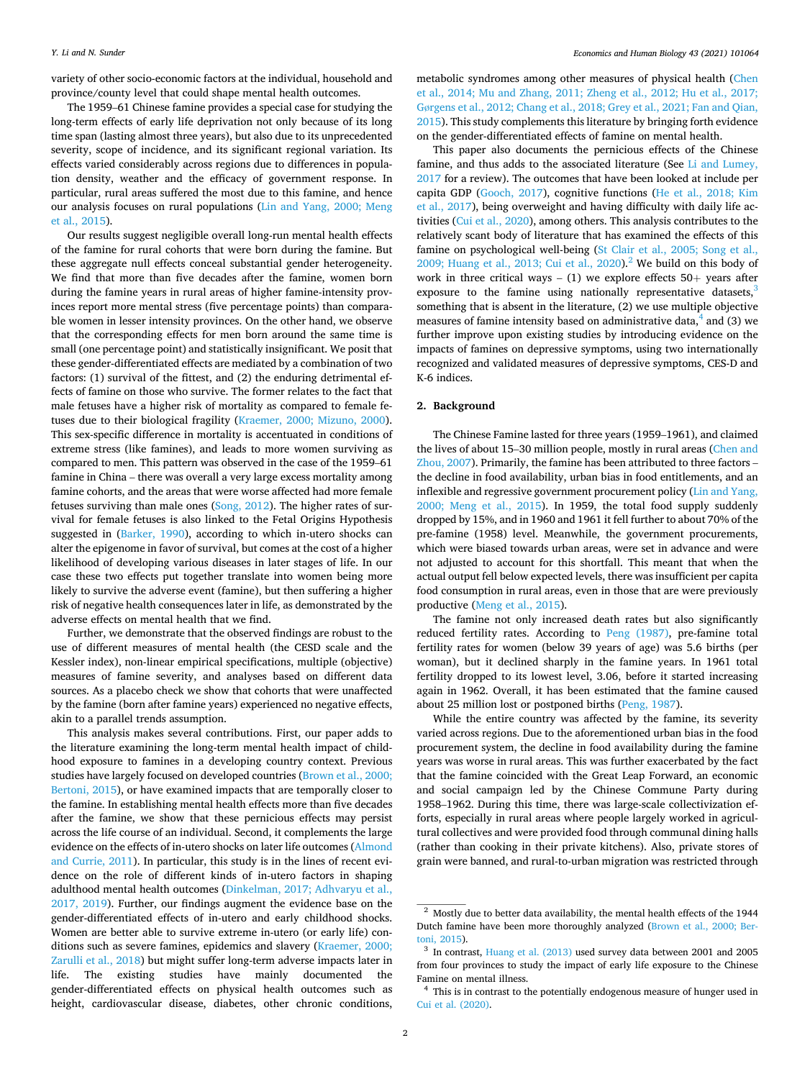variety of other socio-economic factors at the individual, household and province/county level that could shape mental health outcomes.

The 1959–61 Chinese famine provides a special case for studying the long-term effects of early life deprivation not only because of its long time span (lasting almost three years), but also due to its unprecedented severity, scope of incidence, and its significant regional variation. Its effects varied considerably across regions due to differences in population density, weather and the efficacy of government response. In particular, rural areas suffered the most due to this famine, and hence our analysis focuses on rural populations [\(Lin and Yang, 2000; Meng](#page-14-0)  [et al., 2015\)](#page-14-0).

Our results suggest negligible overall long-run mental health effects of the famine for rural cohorts that were born during the famine. But these aggregate null effects conceal substantial gender heterogeneity. We find that more than five decades after the famine, women born during the famine years in rural areas of higher famine-intensity provinces report more mental stress (five percentage points) than comparable women in lesser intensity provinces. On the other hand, we observe that the corresponding effects for men born around the same time is small (one percentage point) and statistically insignificant. We posit that these gender-differentiated effects are mediated by a combination of two factors: (1) survival of the fittest, and (2) the enduring detrimental effects of famine on those who survive. The former relates to the fact that male fetuses have a higher risk of mortality as compared to female fetuses due to their biological fragility [\(Kraemer, 2000; Mizuno, 2000](#page-14-0)). This sex-specific difference in mortality is accentuated in conditions of extreme stress (like famines), and leads to more women surviving as compared to men. This pattern was observed in the case of the 1959–61 famine in China – there was overall a very large excess mortality among famine cohorts, and the areas that were worse affected had more female fetuses surviving than male ones [\(Song, 2012](#page-14-0)). The higher rates of survival for female fetuses is also linked to the Fetal Origins Hypothesis suggested in ([Barker, 1990\)](#page-14-0), according to which in-utero shocks can alter the epigenome in favor of survival, but comes at the cost of a higher likelihood of developing various diseases in later stages of life. In our case these two effects put together translate into women being more likely to survive the adverse event (famine), but then suffering a higher risk of negative health consequences later in life, as demonstrated by the adverse effects on mental health that we find.

Further, we demonstrate that the observed findings are robust to the use of different measures of mental health (the CESD scale and the Kessler index), non-linear empirical specifications, multiple (objective) measures of famine severity, and analyses based on different data sources. As a placebo check we show that cohorts that were unaffected by the famine (born after famine years) experienced no negative effects, akin to a parallel trends assumption.

This analysis makes several contributions. First, our paper adds to the literature examining the long-term mental health impact of childhood exposure to famines in a developing country context. Previous studies have largely focused on developed countries ([Brown et al., 2000;](#page-14-0)  [Bertoni, 2015\)](#page-14-0), or have examined impacts that are temporally closer to the famine. In establishing mental health effects more than five decades after the famine, we show that these pernicious effects may persist across the life course of an individual. Second, it complements the large evidence on the effects of in-utero shocks on later life outcomes ([Almond](#page-14-0)  [and Currie, 2011\)](#page-14-0). In particular, this study is in the lines of recent evidence on the role of different kinds of in-utero factors in shaping adulthood mental health outcomes [\(Dinkelman, 2017; Adhvaryu et al.,](#page-14-0)  [2017, 2019\)](#page-14-0). Further, our findings augment the evidence base on the gender-differentiated effects of in-utero and early childhood shocks. Women are better able to survive extreme in-utero (or early life) conditions such as severe famines, epidemics and slavery (Kraemer, 2000; [Zarulli et al., 2018](#page-14-0)) but might suffer long-term adverse impacts later in life. The existing studies have mainly documented the gender-differentiated effects on physical health outcomes such as height, cardiovascular disease, diabetes, other chronic conditions,

metabolic syndromes among other measures of physical health ([Chen](#page-14-0)  [et al., 2014; Mu and Zhang, 2011; Zheng et al., 2012; Hu et al., 2017;](#page-14-0)  Gø[rgens et al., 2012; Chang et al., 2018; Grey et al., 2021; Fan and Qian,](#page-14-0)  [2015\)](#page-14-0). This study complements this literature by bringing forth evidence on the gender-differentiated effects of famine on mental health.

This paper also documents the pernicious effects of the Chinese famine, and thus adds to the associated literature (See [Li and Lumey,](#page-14-0)  [2017](#page-14-0) for a review). The outcomes that have been looked at include per capita GDP [\(Gooch, 2017](#page-14-0)), cognitive functions ([He et al., 2018; Kim](#page-14-0)  [et al., 2017\)](#page-14-0), being overweight and having difficulty with daily life activities ([Cui et al., 2020](#page-14-0)), among others. This analysis contributes to the relatively scant body of literature that has examined the effects of this famine on psychological well-being ([St Clair et al., 2005; Song et al.,](#page-14-0)  [2009; Huang et al., 2013; Cui et al., 2020\)](#page-14-0).<sup>2</sup> We build on this body of work in three critical ways  $- (1)$  we explore effects  $50+$  years after exposure to the famine using nationally representative datasets,<sup>3</sup> something that is absent in the literature, (2) we use multiple objective measures of famine intensity based on administrative data, $4$  and (3) we further improve upon existing studies by introducing evidence on the impacts of famines on depressive symptoms, using two internationally recognized and validated measures of depressive symptoms, CES-D and K-6 indices.

# **2. Background**

The Chinese Famine lasted for three years (1959–1961), and claimed the lives of about 15–30 million people, mostly in rural areas ([Chen and](#page-14-0)  [Zhou, 2007\)](#page-14-0). Primarily, the famine has been attributed to three factors – the decline in food availability, urban bias in food entitlements, and an inflexible and regressive government procurement policy [\(Lin and Yang,](#page-14-0)  [2000; Meng et al., 2015](#page-14-0)). In 1959, the total food supply suddenly dropped by 15%, and in 1960 and 1961 it fell further to about 70% of the pre-famine (1958) level. Meanwhile, the government procurements, which were biased towards urban areas, were set in advance and were not adjusted to account for this shortfall. This meant that when the actual output fell below expected levels, there was insufficient per capita food consumption in rural areas, even in those that are were previously productive ([Meng et al., 2015](#page-14-0)).

The famine not only increased death rates but also significantly reduced fertility rates. According to [Peng \(1987\),](#page-14-0) pre-famine total fertility rates for women (below 39 years of age) was 5.6 births (per woman), but it declined sharply in the famine years. In 1961 total fertility dropped to its lowest level, 3.06, before it started increasing again in 1962. Overall, it has been estimated that the famine caused about 25 million lost or postponed births [\(Peng, 1987](#page-14-0)).

While the entire country was affected by the famine, its severity varied across regions. Due to the aforementioned urban bias in the food procurement system, the decline in food availability during the famine years was worse in rural areas. This was further exacerbated by the fact that the famine coincided with the Great Leap Forward, an economic and social campaign led by the Chinese Commune Party during 1958–1962. During this time, there was large-scale collectivization efforts, especially in rural areas where people largely worked in agricultural collectives and were provided food through communal dining halls (rather than cooking in their private kitchens). Also, private stores of grain were banned, and rural-to-urban migration was restricted through

 $2$  Mostly due to better data availability, the mental health effects of the 1944 Dutch famine have been more thoroughly analyzed [\(Brown et al., 2000; Ber](#page-14-0)[toni, 2015\)](#page-14-0).

 $3$  In contrast, [Huang et al. \(2013\)](#page-14-0) used survey data between 2001 and 2005 from four provinces to study the impact of early life exposure to the Chinese Famine on mental illness.

<sup>&</sup>lt;sup>4</sup> This is in contrast to the potentially endogenous measure of hunger used in [Cui et al. \(2020\).](#page-14-0)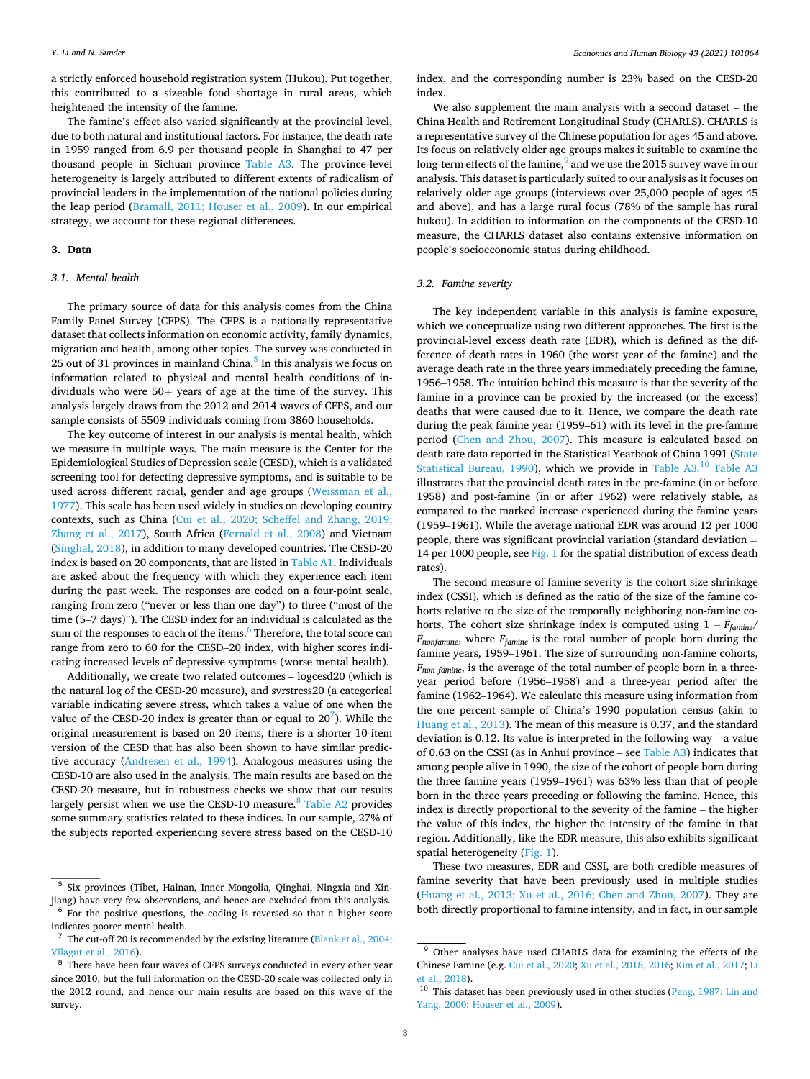a strictly enforced household registration system (Hukou). Put together, this contributed to a sizeable food shortage in rural areas, which heightened the intensity of the famine.

The famine's effect also varied significantly at the provincial level, due to both natural and institutional factors. For instance, the death rate in 1959 ranged from 6.9 per thousand people in Shanghai to 47 per thousand people in Sichuan province [Table A3](#page-10-0). The province-level heterogeneity is largely attributed to different extents of radicalism of provincial leaders in the implementation of the national policies during the leap period ([Bramall, 2011; Houser et al., 2009\)](#page-14-0). In our empirical strategy, we account for these regional differences.

# **3. Data**

#### *3.1. Mental health*

The primary source of data for this analysis comes from the China Family Panel Survey (CFPS). The CFPS is a nationally representative dataset that collects information on economic activity, family dynamics, migration and health, among other topics. The survey was conducted in 25 out of 31 provinces in mainland China. $<sup>5</sup>$  In this analysis we focus on</sup> information related to physical and mental health conditions of individuals who were  $50+$  years of age at the time of the survey. This analysis largely draws from the 2012 and 2014 waves of CFPS, and our sample consists of 5509 individuals coming from 3860 households.

The key outcome of interest in our analysis is mental health, which we measure in multiple ways. The main measure is the Center for the Epidemiological Studies of Depression scale (CESD), which is a validated screening tool for detecting depressive symptoms, and is suitable to be used across different racial, gender and age groups [\(Weissman et al.,](#page-15-0)  [1977\)](#page-15-0). This scale has been used widely in studies on developing country contexts, such as China ([Cui et al., 2020; Scheffel and Zhang, 2019;](#page-14-0)  [Zhang et al., 2017\)](#page-14-0), South Africa [\(Fernald et al., 2008](#page-14-0)) and Vietnam ([Singhal, 2018](#page-14-0)), in addition to many developed countries. The CESD-20 index is based on 20 components, that are listed in [Table A1](#page-9-0). Individuals are asked about the frequency with which they experience each item during the past week. The responses are coded on a four-point scale, ranging from zero ("never or less than one day") to three ("most of the time (5–7 days)"). The CESD index for an individual is calculated as the sum of the responses to each of the items.<sup>6</sup> Therefore, the total score can range from zero to 60 for the CESD–20 index, with higher scores indicating increased levels of depressive symptoms (worse mental health).

Additionally, we create two related outcomes – logcesd20 (which is the natural log of the CESD-20 measure), and svrstress20 (a categorical variable indicating severe stress, which takes a value of one when the value of the CESD-20 index is greater than or equal to  $20^7$ ). While the original measurement is based on 20 items, there is a shorter 10-item version of the CESD that has also been shown to have similar predictive accuracy ([Andresen et al., 1994](#page-14-0)). Analogous measures using the CESD-10 are also used in the analysis. The main results are based on the CESD-20 measure, but in robustness checks we show that our results largely persist when we use the CESD-10 measure. $8$  [Table A2](#page-10-0) provides some summary statistics related to these indices. In our sample, 27% of the subjects reported experiencing severe stress based on the CESD-10

index, and the corresponding number is 23% based on the CESD-20 index.

We also supplement the main analysis with a second dataset – the China Health and Retirement Longitudinal Study (CHARLS). CHARLS is a representative survey of the Chinese population for ages 45 and above. Its focus on relatively older age groups makes it suitable to examine the long-term effects of the famine, $9$  and we use the 2015 survey wave in our analysis. This dataset is particularly suited to our analysis as it focuses on relatively older age groups (interviews over 25,000 people of ages 45 and above), and has a large rural focus (78% of the sample has rural hukou). In addition to information on the components of the CESD-10 measure, the CHARLS dataset also contains extensive information on people's socioeconomic status during childhood.

# *3.2. Famine severity*

The key independent variable in this analysis is famine exposure, which we conceptualize using two different approaches. The first is the provincial-level excess death rate (EDR), which is defined as the difference of death rates in 1960 (the worst year of the famine) and the average death rate in the three years immediately preceding the famine, 1956–1958. The intuition behind this measure is that the severity of the famine in a province can be proxied by the increased (or the excess) deaths that were caused due to it. Hence, we compare the death rate during the peak famine year (1959–61) with its level in the pre-famine period ([Chen and Zhou, 2007\)](#page-14-0). This measure is calculated based on death rate data reported in the Statistical Yearbook of China 1991 [\(State](#page-14-0)  [Statistical Bureau, 1990\)](#page-14-0), which we provide in [Table A3.](#page-10-0)<sup>10</sup> Table A3 illustrates that the provincial death rates in the pre-famine (in or before 1958) and post-famine (in or after 1962) were relatively stable, as compared to the marked increase experienced during the famine years (1959–1961). While the average national EDR was around 12 per 1000 people, there was significant provincial variation (standard deviation  $=$ 14 per 1000 people, see [Fig. 1](#page-4-0) for the spatial distribution of excess death rates).

The second measure of famine severity is the cohort size shrinkage index (CSSI), which is defined as the ratio of the size of the famine cohorts relative to the size of the temporally neighboring non-famine cohorts. The cohort size shrinkage index is computed using 1 − *Ffamine*/ *Fnonfamine*, where *Ffamine* is the total number of people born during the famine years, 1959–1961. The size of surrounding non-famine cohorts, *Fnon famine*, is the average of the total number of people born in a threeyear period before (1956–1958) and a three-year period after the famine (1962–1964). We calculate this measure using information from the one percent sample of China's 1990 population census (akin to [Huang et al., 2013\)](#page-14-0). The mean of this measure is 0.37, and the standard deviation is 0.12. Its value is interpreted in the following way – a value of 0.63 on the CSSI (as in Anhui province – see [Table A3\)](#page-10-0) indicates that among people alive in 1990, the size of the cohort of people born during the three famine years (1959–1961) was 63% less than that of people born in the three years preceding or following the famine. Hence, this index is directly proportional to the severity of the famine – the higher the value of this index, the higher the intensity of the famine in that region. Additionally, like the EDR measure, this also exhibits significant spatial heterogeneity [\(Fig. 1](#page-4-0)).

These two measures, EDR and CSSI, are both credible measures of famine severity that have been previously used in multiple studies ([Huang et al., 2013; Xu et al., 2016; Chen and Zhou, 2007](#page-14-0)). They are both directly proportional to famine intensity, and in fact, in our sample

<sup>&</sup>lt;sup>5</sup> Six provinces (Tibet, Hainan, Inner Mongolia, Qinghai, Ningxia and Xinjiang) have very few observations, and hence are excluded from this analysis.  $6$  For the positive questions, the coding is reversed so that a higher score

indicates poorer mental health.  $7$  The cut-off 20 is recommended by the existing literature (Blank et al., 2004;

[Vilagut et al., 2016\)](#page-14-0).

<sup>&</sup>lt;sup>8</sup> There have been four waves of CFPS surveys conducted in every other year since 2010, but the full information on the CESD-20 scale was collected only in the 2012 round, and hence our main results are based on this wave of the survey.

<sup>&</sup>lt;sup>9</sup> Other analyses have used CHARLS data for examining the effects of the Chinese Famine (e.g. [Cui et al., 2020;](#page-14-0) [Xu et al., 2018, 2016](#page-15-0); [Kim et al., 2017;](#page-14-0) [Li](#page-14-0)  [et al., 2018](#page-14-0)).

 $10$  This dataset has been previously used in other studies (Peng, 1987; Lin and [Yang, 2000; Houser et al., 2009](#page-14-0)).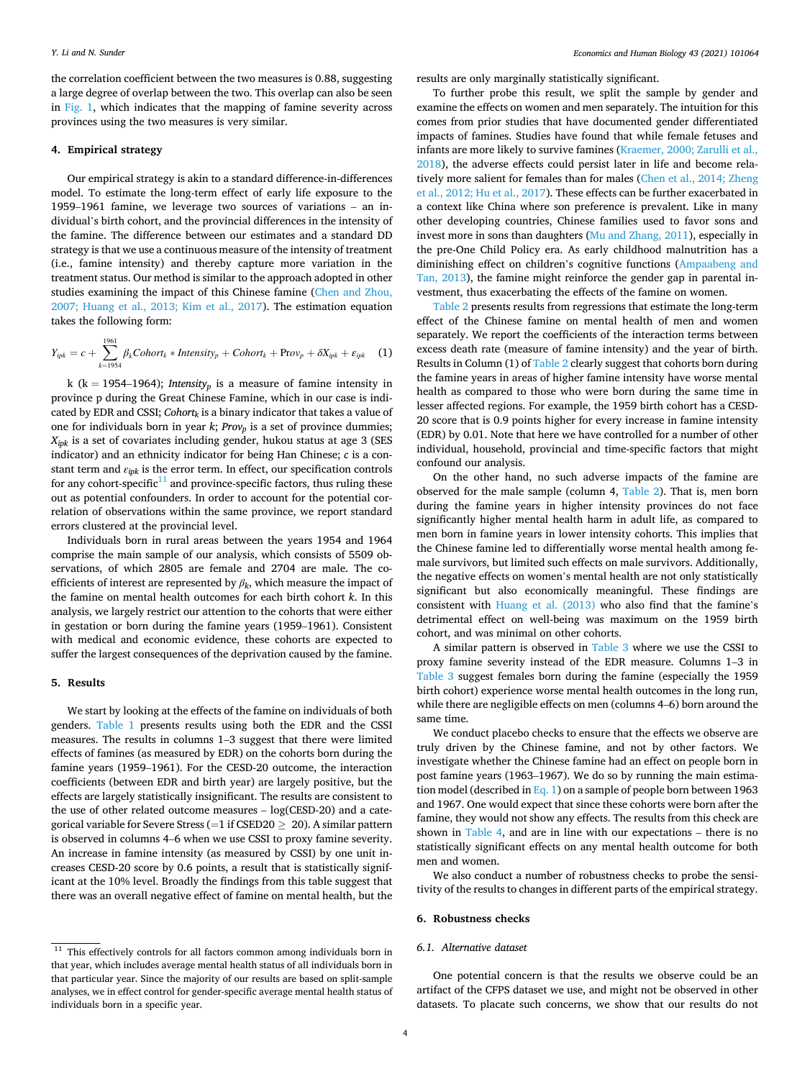the correlation coefficient between the two measures is 0.88, suggesting a large degree of overlap between the two. This overlap can also be seen in [Fig. 1](#page-4-0), which indicates that the mapping of famine severity across provinces using the two measures is very similar.

# **4. Empirical strategy**

Our empirical strategy is akin to a standard difference-in-differences model. To estimate the long-term effect of early life exposure to the 1959–1961 famine, we leverage two sources of variations – an individual's birth cohort, and the provincial differences in the intensity of the famine. The difference between our estimates and a standard DD strategy is that we use a continuous measure of the intensity of treatment (i.e., famine intensity) and thereby capture more variation in the treatment status. Our method is similar to the approach adopted in other studies examining the impact of this Chinese famine ([Chen and Zhou,](#page-14-0)  [2007; Huang et al., 2013; Kim et al., 2017](#page-14-0)). The estimation equation takes the following form:

$$
Y_{ipk} = c + \sum_{k=1954}^{1961} \beta_k \text{Cohort}_k * \text{Intensity}_p + \text{Cohort}_k + \text{Prov}_p + \delta X_{ipk} + \varepsilon_{ipk} \tag{1}
$$

k (k = 1954–1964); *Intensity*<sup>*p*</sup> is a measure of famine intensity in province p during the Great Chinese Famine, which in our case is indicated by EDR and CSSI; *Cohortk* is a binary indicator that takes a value of one for individuals born in year *k*; *Provp* is a set of province dummies; *Xipk* is a set of covariates including gender, hukou status at age 3 (SES indicator) and an ethnicity indicator for being Han Chinese; *c* is a constant term and *εipk* is the error term. In effect, our specification controls for any cohort-specific $11$  and province-specific factors, thus ruling these out as potential confounders. In order to account for the potential correlation of observations within the same province, we report standard errors clustered at the provincial level.

Individuals born in rural areas between the years 1954 and 1964 comprise the main sample of our analysis, which consists of 5509 observations, of which 2805 are female and 2704 are male. The coefficients of interest are represented by  $\beta_k$ , which measure the impact of the famine on mental health outcomes for each birth cohort *k*. In this analysis, we largely restrict our attention to the cohorts that were either in gestation or born during the famine years (1959–1961). Consistent with medical and economic evidence, these cohorts are expected to suffer the largest consequences of the deprivation caused by the famine.

# **5. Results**

We start by looking at the effects of the famine on individuals of both genders. [Table 1](#page-6-0) presents results using both the EDR and the CSSI measures. The results in columns 1–3 suggest that there were limited effects of famines (as measured by EDR) on the cohorts born during the famine years (1959–1961). For the CESD-20 outcome, the interaction coefficients (between EDR and birth year) are largely positive, but the effects are largely statistically insignificant. The results are consistent to the use of other related outcome measures – log(CESD-20) and a categorical variable for Severe Stress (=1 if CSED20  $\geq$  20). A similar pattern is observed in columns 4–6 when we use CSSI to proxy famine severity. An increase in famine intensity (as measured by CSSI) by one unit increases CESD-20 score by 0.6 points, a result that is statistically significant at the 10% level. Broadly the findings from this table suggest that there was an overall negative effect of famine on mental health, but the

results are only marginally statistically significant.

To further probe this result, we split the sample by gender and examine the effects on women and men separately. The intuition for this comes from prior studies that have documented gender differentiated impacts of famines. Studies have found that while female fetuses and infants are more likely to survive famines [\(Kraemer, 2000; Zarulli et al.,](#page-14-0)  [2018\)](#page-14-0), the adverse effects could persist later in life and become relatively more salient for females than for males [\(Chen et al., 2014; Zheng](#page-14-0)  [et al., 2012; Hu et al., 2017\)](#page-14-0). These effects can be further exacerbated in a context like China where son preference is prevalent. Like in many other developing countries, Chinese families used to favor sons and invest more in sons than daughters ([Mu and Zhang, 2011\)](#page-14-0), especially in the pre-One Child Policy era. As early childhood malnutrition has a diminishing effect on children's cognitive functions ([Ampaabeng and](#page-14-0)  [Tan, 2013\)](#page-14-0), the famine might reinforce the gender gap in parental investment, thus exacerbating the effects of the famine on women.

[Table 2](#page-6-0) presents results from regressions that estimate the long-term effect of the Chinese famine on mental health of men and women separately. We report the coefficients of the interaction terms between excess death rate (measure of famine intensity) and the year of birth. Results in Column (1) of [Table 2](#page-6-0) clearly suggest that cohorts born during the famine years in areas of higher famine intensity have worse mental health as compared to those who were born during the same time in lesser affected regions. For example, the 1959 birth cohort has a CESD-20 score that is 0.9 points higher for every increase in famine intensity (EDR) by 0.01. Note that here we have controlled for a number of other individual, household, provincial and time-specific factors that might confound our analysis.

On the other hand, no such adverse impacts of the famine are observed for the male sample (column 4, [Table 2](#page-6-0)). That is, men born during the famine years in higher intensity provinces do not face significantly higher mental health harm in adult life, as compared to men born in famine years in lower intensity cohorts. This implies that the Chinese famine led to differentially worse mental health among female survivors, but limited such effects on male survivors. Additionally, the negative effects on women's mental health are not only statistically significant but also economically meaningful. These findings are consistent with [Huang et al. \(2013\)](#page-14-0) who also find that the famine's detrimental effect on well-being was maximum on the 1959 birth cohort, and was minimal on other cohorts.

A similar pattern is observed in [Table 3](#page-6-0) where we use the CSSI to proxy famine severity instead of the EDR measure. Columns 1–3 in [Table 3](#page-6-0) suggest females born during the famine (especially the 1959 birth cohort) experience worse mental health outcomes in the long run, while there are negligible effects on men (columns 4–6) born around the same time.

We conduct placebo checks to ensure that the effects we observe are truly driven by the Chinese famine, and not by other factors. We investigate whether the Chinese famine had an effect on people born in post famine years (1963–1967). We do so by running the main estimation model (described in Eq. 1) on a sample of people born between 1963 and 1967. One would expect that since these cohorts were born after the famine, they would not show any effects. The results from this check are shown in [Table 4](#page-7-0), and are in line with our expectations – there is no statistically significant effects on any mental health outcome for both men and women.

We also conduct a number of robustness checks to probe the sensitivity of the results to changes in different parts of the empirical strategy.

#### **6. Robustness checks**

### *6.1. Alternative dataset*

One potential concern is that the results we observe could be an artifact of the CFPS dataset we use, and might not be observed in other datasets. To placate such concerns, we show that our results do not

 $11$  This effectively controls for all factors common among individuals born in that year, which includes average mental health status of all individuals born in that particular year. Since the majority of our results are based on split-sample analyses, we in effect control for gender-specific average mental health status of individuals born in a specific year.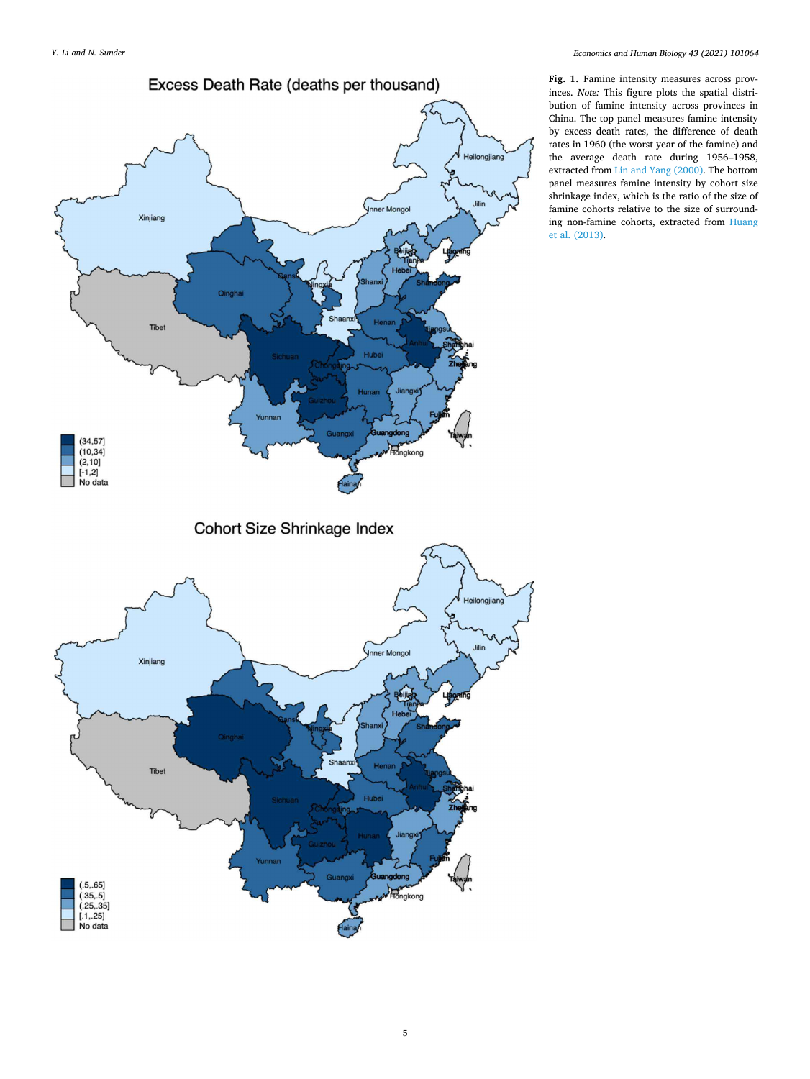<span id="page-4-0"></span>

Cohort Size Shrinkage Index



**Fig. 1.** Famine intensity measures across provinces. *Note:* This figure plots the spatial distribution of famine intensity across provinces in China. The top panel measures famine intensity by excess death rates, the difference of death rates in 1960 (the worst year of the famine) and the average death rate during 1956–1958, extracted from [Lin and Yang \(2000\)](#page-14-0). The bottom panel measures famine intensity by cohort size shrinkage index, which is the ratio of the size of famine cohorts relative to the size of surrounding non-famine cohorts, extracted from [Huang](#page-14-0)  [et al. \(2013\).](#page-14-0)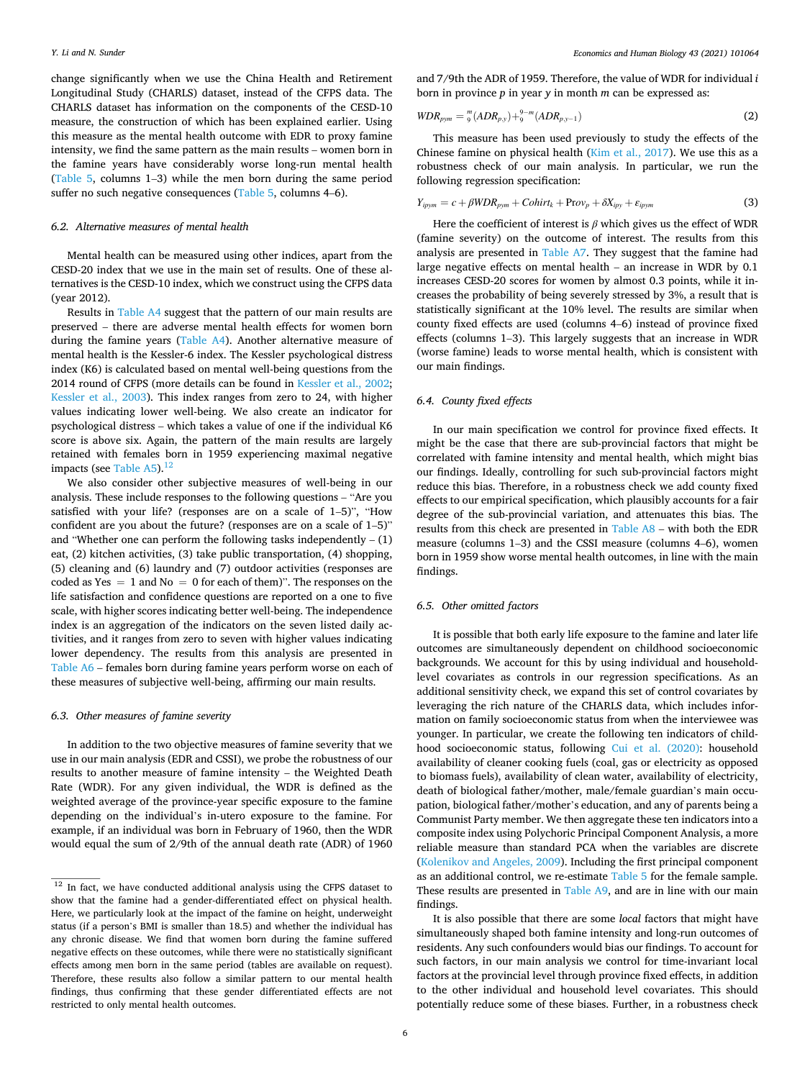change significantly when we use the China Health and Retirement Longitudinal Study (CHARLS) dataset, instead of the CFPS data. The CHARLS dataset has information on the components of the CESD-10 measure, the construction of which has been explained earlier. Using this measure as the mental health outcome with EDR to proxy famine intensity, we find the same pattern as the main results – women born in the famine years have considerably worse long-run mental health ([Table 5](#page-7-0), columns 1–3) while the men born during the same period suffer no such negative consequences ([Table 5](#page-7-0), columns 4–6).

### *6.2. Alternative measures of mental health*

Mental health can be measured using other indices, apart from the CESD-20 index that we use in the main set of results. One of these alternatives is the CESD-10 index, which we construct using the CFPS data (year 2012).

Results in [Table A4](#page-11-0) suggest that the pattern of our main results are preserved – there are adverse mental health effects for women born during the famine years ([Table A4\)](#page-11-0). Another alternative measure of mental health is the Kessler-6 index. The Kessler psychological distress index (K6) is calculated based on mental well-being questions from the 2014 round of CFPS (more details can be found in [Kessler et al., 2002](#page-14-0); [Kessler et al., 2003\)](#page-14-0). This index ranges from zero to 24, with higher values indicating lower well-being. We also create an indicator for psychological distress – which takes a value of one if the individual K6 score is above six. Again, the pattern of the main results are largely retained with females born in 1959 experiencing maximal negative impacts (see Table  $A5$ ).<sup>12</sup>

We also consider other subjective measures of well-being in our analysis. These include responses to the following questions – "Are you satisfied with your life? (responses are on a scale of 1–5)", "How confident are you about the future? (responses are on a scale of 1–5)" and "Whether one can perform the following tasks independently  $- (1)$ eat, (2) kitchen activities, (3) take public transportation, (4) shopping, (5) cleaning and (6) laundry and (7) outdoor activities (responses are coded as Yes  $= 1$  and No  $= 0$  for each of them)". The responses on the life satisfaction and confidence questions are reported on a one to five scale, with higher scores indicating better well-being. The independence index is an aggregation of the indicators on the seven listed daily activities, and it ranges from zero to seven with higher values indicating lower dependency. The results from this analysis are presented in [Table A6](#page-12-0) – females born during famine years perform worse on each of these measures of subjective well-being, affirming our main results.

# *6.3. Other measures of famine severity*

In addition to the two objective measures of famine severity that we use in our main analysis (EDR and CSSI), we probe the robustness of our results to another measure of famine intensity – the Weighted Death Rate (WDR). For any given individual, the WDR is defined as the weighted average of the province-year specific exposure to the famine depending on the individual's in-utero exposure to the famine. For example, if an individual was born in February of 1960, then the WDR would equal the sum of 2/9th of the annual death rate (ADR) of 1960 and 7/9th the ADR of 1959. Therefore, the value of WDR for individual *i*  born in province *p* in year *y* in month *m* can be expressed as:

$$
WDR_{pym} = {}^{m}_{9}(ADR_{p,y}) + {}^{9-m}_{9}(ADR_{p,y-1})
$$
\n(2)

This measure has been used previously to study the effects of the Chinese famine on physical health ([Kim et al., 2017](#page-14-0)). We use this as a robustness check of our main analysis. In particular, we run the following regression specification:

$$
Y_{ipym} = c + \beta WDR_{pym} + \text{Cohirt}_k + \text{Prov}_p + \delta X_{ipy} + \varepsilon_{ipym}
$$
\n(3)

Here the coefficient of interest is *β* which gives us the effect of WDR (famine severity) on the outcome of interest. The results from this analysis are presented in [Table A7](#page-12-0). They suggest that the famine had large negative effects on mental health – an increase in WDR by 0.1 increases CESD-20 scores for women by almost 0.3 points, while it increases the probability of being severely stressed by 3%, a result that is statistically significant at the 10% level. The results are similar when county fixed effects are used (columns 4–6) instead of province fixed effects (columns 1–3). This largely suggests that an increase in WDR (worse famine) leads to worse mental health, which is consistent with our main findings.

#### *6.4. County fixed effects*

In our main specification we control for province fixed effects. It might be the case that there are sub-provincial factors that might be correlated with famine intensity and mental health, which might bias our findings. Ideally, controlling for such sub-provincial factors might reduce this bias. Therefore, in a robustness check we add county fixed effects to our empirical specification, which plausibly accounts for a fair degree of the sub-provincial variation, and attenuates this bias. The results from this check are presented in [Table A8](#page-12-0) – with both the EDR measure (columns 1–3) and the CSSI measure (columns 4–6), women born in 1959 show worse mental health outcomes, in line with the main findings.

### *6.5. Other omitted factors*

It is possible that both early life exposure to the famine and later life outcomes are simultaneously dependent on childhood socioeconomic backgrounds. We account for this by using individual and householdlevel covariates as controls in our regression specifications. As an additional sensitivity check, we expand this set of control covariates by leveraging the rich nature of the CHARLS data, which includes information on family socioeconomic status from when the interviewee was younger. In particular, we create the following ten indicators of childhood socioeconomic status, following [Cui et al. \(2020\):](#page-14-0) household availability of cleaner cooking fuels (coal, gas or electricity as opposed to biomass fuels), availability of clean water, availability of electricity, death of biological father/mother, male/female guardian's main occupation, biological father/mother's education, and any of parents being a Communist Party member. We then aggregate these ten indicators into a composite index using Polychoric Principal Component Analysis, a more reliable measure than standard PCA when the variables are discrete ([Kolenikov and Angeles, 2009](#page-14-0)). Including the first principal component as an additional control, we re-estimate [Table 5](#page-7-0) for the female sample. These results are presented in [Table A9](#page-13-0), and are in line with our main findings.

It is also possible that there are some *local* factors that might have simultaneously shaped both famine intensity and long-run outcomes of residents. Any such confounders would bias our findings. To account for such factors, in our main analysis we control for time-invariant local factors at the provincial level through province fixed effects, in addition to the other individual and household level covariates. This should potentially reduce some of these biases. Further, in a robustness check

 $\overline{12}$  In fact, we have conducted additional analysis using the CFPS dataset to show that the famine had a gender-differentiated effect on physical health. Here, we particularly look at the impact of the famine on height, underweight status (if a person's BMI is smaller than 18.5) and whether the individual has any chronic disease. We find that women born during the famine suffered negative effects on these outcomes, while there were no statistically significant effects among men born in the same period (tables are available on request). Therefore, these results also follow a similar pattern to our mental health findings, thus confirming that these gender differentiated effects are not restricted to only mental health outcomes.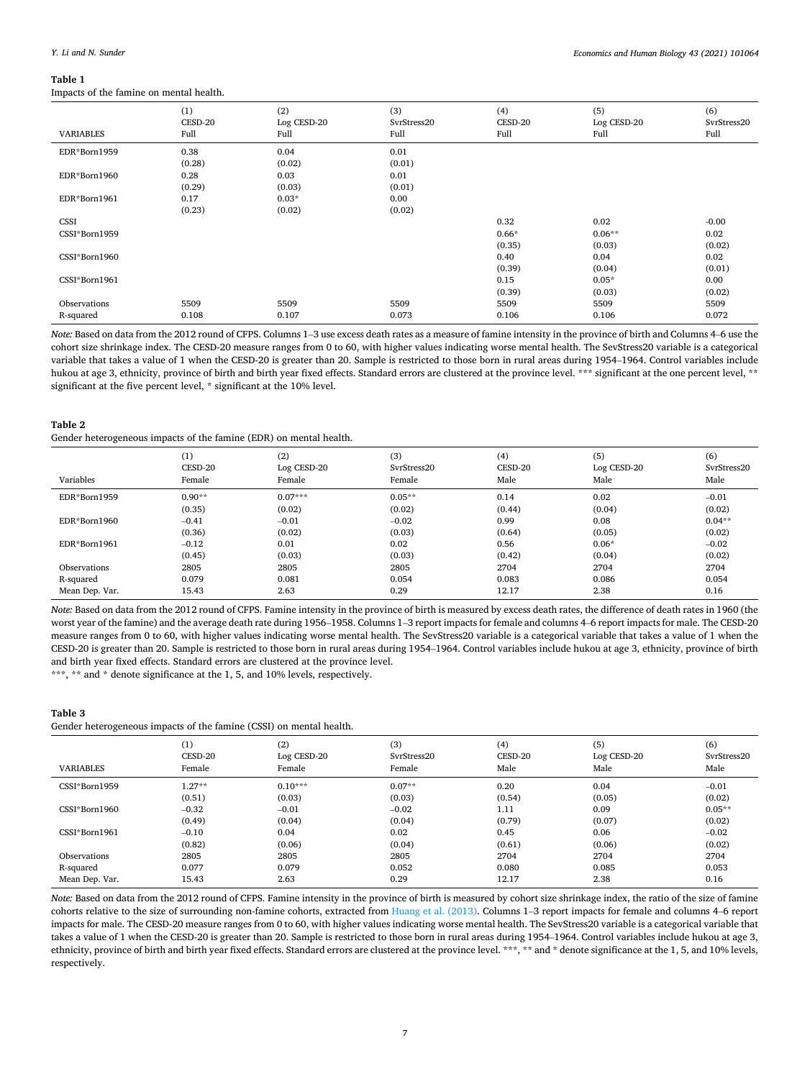### <span id="page-6-0"></span>**Table 1**

Impacts of the famine on mental health.

| <b>VARIABLES</b> | (1)<br>CESD-20<br>Full | (2)<br>Log CESD-20<br>Full | (3)<br>SvrStress20<br>Full | (4)<br>CESD-20<br>Full | (5)<br>Log CESD-20<br>Full | (6)<br>SvrStress20<br>Full |
|------------------|------------------------|----------------------------|----------------------------|------------------------|----------------------------|----------------------------|
| EDR*Born1959     | 0.38                   | 0.04                       | 0.01                       |                        |                            |                            |
|                  | (0.28)                 | (0.02)                     | (0.01)                     |                        |                            |                            |
| EDR*Born1960     | 0.28                   | 0.03                       | 0.01                       |                        |                            |                            |
|                  | (0.29)                 | (0.03)                     | (0.01)                     |                        |                            |                            |
| EDR*Born1961     | 0.17                   | $0.03*$                    | 0.00                       |                        |                            |                            |
|                  | (0.23)                 | (0.02)                     | (0.02)                     |                        |                            |                            |
| CSSI             |                        |                            |                            | 0.32                   | 0.02                       | $-0.00$                    |
| CSSI*Born1959    |                        |                            |                            | $0.66*$                | $0.06**$                   | 0.02                       |
|                  |                        |                            |                            | (0.35)                 | (0.03)                     | (0.02)                     |
| CSSI*Born1960    |                        |                            |                            | 0.40                   | 0.04                       | 0.02                       |
|                  |                        |                            |                            | (0.39)                 | (0.04)                     | (0.01)                     |
| CSSI*Born1961    |                        |                            |                            | 0.15                   | $0.05*$                    | 0.00                       |
|                  |                        |                            |                            | (0.39)                 | (0.03)                     | (0.02)                     |
| Observations     | 5509                   | 5509                       | 5509                       | 5509                   | 5509                       | 5509                       |
| R-squared        | 0.108                  | 0.107                      | 0.073                      | 0.106                  | 0.106                      | 0.072                      |

*Note:* Based on data from the 2012 round of CFPS. Columns 1–3 use excess death rates as a measure of famine intensity in the province of birth and Columns 4–6 use the cohort size shrinkage index. The CESD-20 measure ranges from 0 to 60, with higher values indicating worse mental health. The SevStress20 variable is a categorical variable that takes a value of 1 when the CESD-20 is greater than 20. Sample is restricted to those born in rural areas during 1954–1964. Control variables include hukou at age 3, ethnicity, province of birth and birth year fixed effects. Standard errors are clustered at the province level. \*\*\* significant at the one percent level, \*\* significant at the five percent level, \* significant at the 10% level.

### **Table 2**

Gender heterogeneous impacts of the famine (EDR) on mental health.

| .              |                          |                              |                              |                        |                            |                            |
|----------------|--------------------------|------------------------------|------------------------------|------------------------|----------------------------|----------------------------|
| Variables      | (1)<br>CESD-20<br>Female | (2)<br>Log CESD-20<br>Female | (3)<br>SvrStress20<br>Female | (4)<br>CESD-20<br>Male | (5)<br>Log CESD-20<br>Male | (6)<br>SyrStress20<br>Male |
| EDR*Born1959   | $0.90**$                 | $0.07***$                    | $0.05**$                     | 0.14                   | 0.02                       | $-0.01$                    |
|                | (0.35)                   | (0.02)                       | (0.02)                       | (0.44)                 | (0.04)                     | (0.02)                     |
| EDR*Born1960   | $-0.41$                  | $-0.01$                      | $-0.02$                      | 0.99                   | 0.08                       | $0.04**$                   |
|                | (0.36)                   | (0.02)                       | (0.03)                       | (0.64)                 | (0.05)                     | (0.02)                     |
| EDR*Born1961   | $-0.12$                  | 0.01                         | 0.02                         | 0.56                   | $0.06*$                    | $-0.02$                    |
|                | (0.45)                   | (0.03)                       | (0.03)                       | (0.42)                 | (0.04)                     | (0.02)                     |
| Observations   | 2805                     | 2805                         | 2805                         | 2704                   | 2704                       | 2704                       |
| R-squared      | 0.079                    | 0.081                        | 0.054                        | 0.083                  | 0.086                      | 0.054                      |
| Mean Dep. Var. | 15.43                    | 2.63                         | 0.29                         | 12.17                  | 2.38                       | 0.16                       |

*Note:* Based on data from the 2012 round of CFPS. Famine intensity in the province of birth is measured by excess death rates, the difference of death rates in 1960 (the worst year of the famine) and the average death rate during 1956–1958. Columns 1–3 report impacts for female and columns 4–6 report impacts for male. The CESD-20 measure ranges from 0 to 60, with higher values indicating worse mental health. The SevStress20 variable is a categorical variable that takes a value of 1 when the CESD-20 is greater than 20. Sample is restricted to those born in rural areas during 1954–1964. Control variables include hukou at age 3, ethnicity, province of birth and birth year fixed effects. Standard errors are clustered at the province level.

\*\*\*, \*\* and \* denote significance at the 1, 5, and 10% levels, respectively.

#### **Table 3**

Gender heterogeneous impacts of the famine (CSSI) on mental health.

| <b>VARIABLES</b> | (1)<br>CESD-20<br>Female | (2)<br>Log CESD-20<br>Female | (3)<br>SvrStress20<br>Female | (4)<br>CESD-20<br>Male | (5)<br>Log CESD-20<br>Male | (6)<br>SvrStress20<br>Male |
|------------------|--------------------------|------------------------------|------------------------------|------------------------|----------------------------|----------------------------|
| CSSI*Born1959    | $1.27**$                 | $0.10***$                    | $0.07**$                     | 0.20                   | 0.04                       | $-0.01$                    |
|                  | (0.51)                   | (0.03)                       | (0.03)                       | (0.54)                 | (0.05)                     | (0.02)                     |
| CSSI*Born1960    | $-0.32$                  | $-0.01$                      | $-0.02$                      | 1.11                   | 0.09                       | $0.05**$                   |
|                  | (0.49)                   | (0.04)                       | (0.04)                       | (0.79)                 | (0.07)                     | (0.02)                     |
| CSSI*Born1961    | $-0.10$                  | 0.04                         | 0.02                         | 0.45                   | 0.06                       | $-0.02$                    |
|                  | (0.82)                   | (0.06)                       | (0.04)                       | (0.61)                 | (0.06)                     | (0.02)                     |
| Observations     | 2805                     | 2805                         | 2805                         | 2704                   | 2704                       | 2704                       |
| R-squared        | 0.077                    | 0.079                        | 0.052                        | 0.080                  | 0.085                      | 0.053                      |
| Mean Dep. Var.   | 15.43                    | 2.63                         | 0.29                         | 12.17                  | 2.38                       | 0.16                       |

*Note:* Based on data from the 2012 round of CFPS. Famine intensity in the province of birth is measured by cohort size shrinkage index, the ratio of the size of famine cohorts relative to the size of surrounding non-famine cohorts, extracted from [Huang et al. \(2013\).](#page-14-0) Columns 1–3 report impacts for female and columns 4–6 report impacts for male. The CESD-20 measure ranges from 0 to 60, with higher values indicating worse mental health. The SevStress20 variable is a categorical variable that takes a value of 1 when the CESD-20 is greater than 20. Sample is restricted to those born in rural areas during 1954–1964. Control variables include hukou at age 3, ethnicity, province of birth and birth year fixed effects. Standard errors are clustered at the province level. \*\*\*, \*\* and \* denote significance at the 1, 5, and 10% levels, respectively.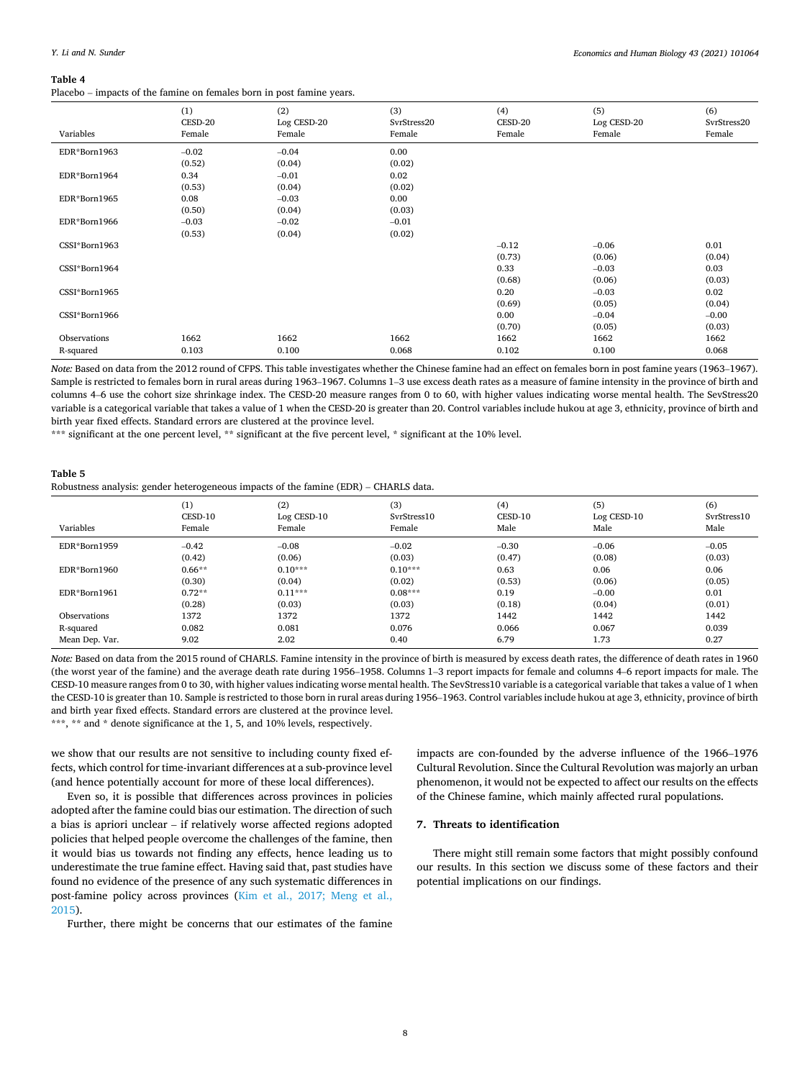#### *Economics and Human Biology 43 (2021) 101064*

#### <span id="page-7-0"></span>**Table 4**

Placebo – impacts of the famine on females born in post famine years.

| Variables     | (1)<br>CESD-20<br>Female | (2)<br>Log CESD-20<br>Female | (3)<br>SvrStress20<br>Female | (4)<br>CESD-20<br>Female | (5)<br>Log CESD-20<br>Female | (6)<br>SvrStress20<br>Female |
|---------------|--------------------------|------------------------------|------------------------------|--------------------------|------------------------------|------------------------------|
| EDR*Born1963  | $-0.02$                  | $-0.04$                      | 0.00                         |                          |                              |                              |
|               | (0.52)                   | (0.04)                       | (0.02)                       |                          |                              |                              |
| EDR*Born1964  | 0.34                     | $-0.01$                      | 0.02                         |                          |                              |                              |
|               | (0.53)                   | (0.04)                       | (0.02)                       |                          |                              |                              |
| EDR*Born1965  | 0.08                     | $-0.03$                      | 0.00                         |                          |                              |                              |
|               | (0.50)                   | (0.04)                       | (0.03)                       |                          |                              |                              |
| EDR*Born1966  | $-0.03$                  | $-0.02$                      | $-0.01$                      |                          |                              |                              |
|               | (0.53)                   | (0.04)                       | (0.02)                       |                          |                              |                              |
| CSSI*Born1963 |                          |                              |                              | $-0.12$                  | $-0.06$                      | 0.01                         |
|               |                          |                              |                              | (0.73)                   | (0.06)                       | (0.04)                       |
| CSSI*Born1964 |                          |                              |                              | 0.33                     | $-0.03$                      | 0.03                         |
|               |                          |                              |                              | (0.68)                   | (0.06)                       | (0.03)                       |
| CSSI*Born1965 |                          |                              |                              | 0.20                     | $-0.03$                      | 0.02                         |
|               |                          |                              |                              | (0.69)                   | (0.05)                       | (0.04)                       |
| CSSI*Born1966 |                          |                              |                              | 0.00                     | $-0.04$                      | $-0.00$                      |
|               |                          |                              |                              | (0.70)                   | (0.05)                       | (0.03)                       |
| Observations  | 1662                     | 1662                         | 1662                         | 1662                     | 1662                         | 1662                         |
| R-squared     | 0.103                    | 0.100                        | 0.068                        | 0.102                    | 0.100                        | 0.068                        |

*Note:* Based on data from the 2012 round of CFPS. This table investigates whether the Chinese famine had an effect on females born in post famine years (1963–1967). Sample is restricted to females born in rural areas during 1963–1967. Columns 1–3 use excess death rates as a measure of famine intensity in the province of birth and columns 4–6 use the cohort size shrinkage index. The CESD-20 measure ranges from 0 to 60, with higher values indicating worse mental health. The SevStress20 variable is a categorical variable that takes a value of 1 when the CESD-20 is greater than 20. Control variables include hukou at age 3, ethnicity, province of birth and birth year fixed effects. Standard errors are clustered at the province level.

\*\*\* significant at the one percent level, \*\* significant at the five percent level, \* significant at the 10% level.

#### **Table 5**

Robustness analysis: gender heterogeneous impacts of the famine (EDR) – CHARLS data.

| Variables      | (1)<br>CESD-10<br>Female | (2)<br>$Log$ CESD- $10$<br>Female | (3)<br>SvrStress10<br>Female | (4)<br>CESD-10<br>Male | (5)<br>Log CESD-10<br>Male | (6)<br>SyrStress10<br>Male |
|----------------|--------------------------|-----------------------------------|------------------------------|------------------------|----------------------------|----------------------------|
| EDR*Born1959   | $-0.42$                  | $-0.08$                           | $-0.02$                      | $-0.30$                | $-0.06$                    | $-0.05$                    |
|                | (0.42)                   | (0.06)                            | (0.03)                       | (0.47)                 | (0.08)                     | (0.03)                     |
| EDR*Born1960   | $0.66**$                 | $0.10***$                         | $0.10***$                    | 0.63                   | 0.06                       | 0.06                       |
|                | (0.30)                   | (0.04)                            | (0.02)                       | (0.53)                 | (0.06)                     | (0.05)                     |
| EDR*Born1961   | $0.72**$                 | $0.11***$                         | $0.08***$                    | 0.19                   | $-0.00$                    | 0.01                       |
|                | (0.28)                   | (0.03)                            | (0.03)                       | (0.18)                 | (0.04)                     | (0.01)                     |
| Observations   | 1372                     | 1372                              | 1372                         | 1442                   | 1442                       | 1442                       |
| R-squared      | 0.082                    | 0.081                             | 0.076                        | 0.066                  | 0.067                      | 0.039                      |
| Mean Dep. Var. | 9.02                     | 2.02                              | 0.40                         | 6.79                   | 1.73                       | 0.27                       |

*Note:* Based on data from the 2015 round of CHARLS. Famine intensity in the province of birth is measured by excess death rates, the difference of death rates in 1960 (the worst year of the famine) and the average death rate during 1956–1958. Columns 1–3 report impacts for female and columns 4–6 report impacts for male. The CESD-10 measure ranges from 0 to 30, with higher values indicating worse mental health. The SevStress10 variable is a categorical variable that takes a value of 1 when the CESD-10 is greater than 10. Sample is restricted to those born in rural areas during 1956–1963. Control variables include hukou at age 3, ethnicity, province of birth and birth year fixed effects. Standard errors are clustered at the province level.

\*\*\*, \*\* and \* denote significance at the 1, 5, and 10% levels, respectively.

we show that our results are not sensitive to including county fixed effects, which control for time-invariant differences at a sub-province level (and hence potentially account for more of these local differences).

Even so, it is possible that differences across provinces in policies adopted after the famine could bias our estimation. The direction of such a bias is apriori unclear – if relatively worse affected regions adopted policies that helped people overcome the challenges of the famine, then it would bias us towards not finding any effects, hence leading us to underestimate the true famine effect. Having said that, past studies have found no evidence of the presence of any such systematic differences in post-famine policy across provinces [\(Kim et al., 2017; Meng et al.,](#page-14-0)  [2015\)](#page-14-0).

Further, there might be concerns that our estimates of the famine

impacts are con-founded by the adverse influence of the 1966–1976 Cultural Revolution. Since the Cultural Revolution was majorly an urban phenomenon, it would not be expected to affect our results on the effects of the Chinese famine, which mainly affected rural populations.

### **7. Threats to identification**

There might still remain some factors that might possibly confound our results. In this section we discuss some of these factors and their potential implications on our findings.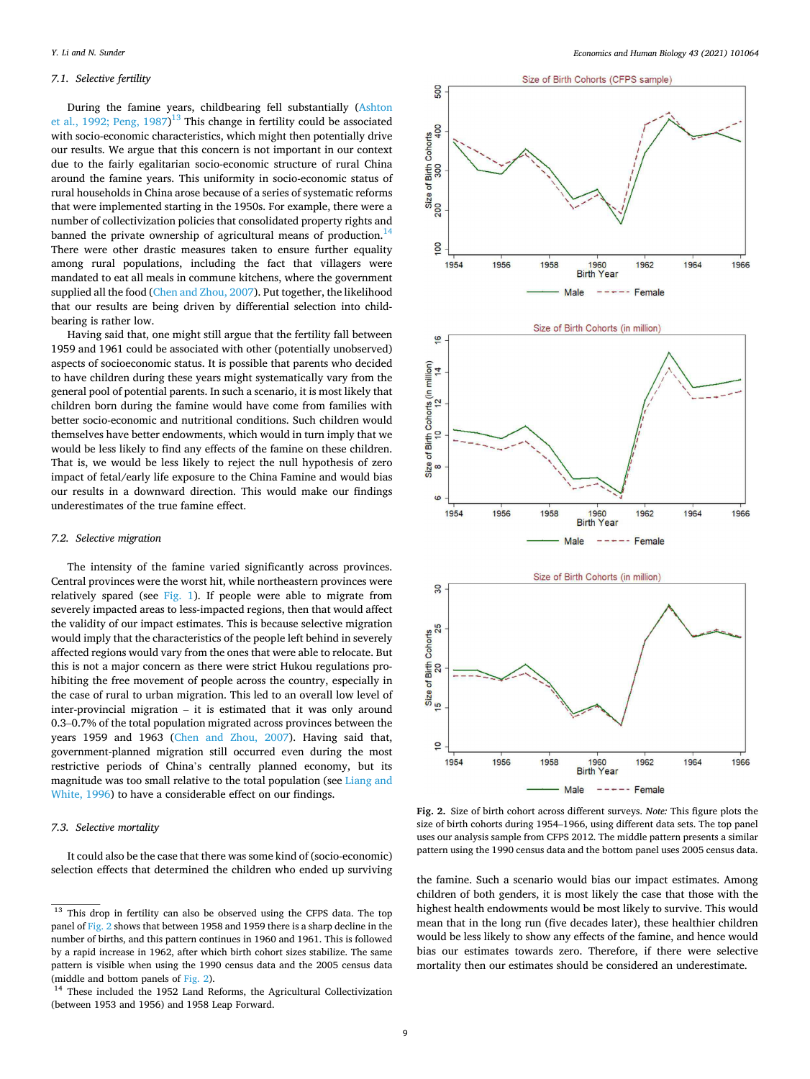# *7.1. Selective fertility*

During the famine years, childbearing fell substantially [\(Ashton](#page-14-0)  [et al., 1992; Peng, 1987](#page-14-0))<sup>13</sup> This change in fertility could be associated with socio-economic characteristics, which might then potentially drive our results. We argue that this concern is not important in our context due to the fairly egalitarian socio-economic structure of rural China around the famine years. This uniformity in socio-economic status of rural households in China arose because of a series of systematic reforms that were implemented starting in the 1950s. For example, there were a number of collectivization policies that consolidated property rights and banned the private ownership of agricultural means of production.<sup>14</sup> There were other drastic measures taken to ensure further equality among rural populations, including the fact that villagers were mandated to eat all meals in commune kitchens, where the government supplied all the food ([Chen and Zhou, 2007\)](#page-14-0). Put together, the likelihood that our results are being driven by differential selection into childbearing is rather low.

Having said that, one might still argue that the fertility fall between 1959 and 1961 could be associated with other (potentially unobserved) aspects of socioeconomic status. It is possible that parents who decided to have children during these years might systematically vary from the general pool of potential parents. In such a scenario, it is most likely that children born during the famine would have come from families with better socio-economic and nutritional conditions. Such children would themselves have better endowments, which would in turn imply that we would be less likely to find any effects of the famine on these children. That is, we would be less likely to reject the null hypothesis of zero impact of fetal/early life exposure to the China Famine and would bias our results in a downward direction. This would make our findings underestimates of the true famine effect.

#### *7.2. Selective migration*

The intensity of the famine varied significantly across provinces. Central provinces were the worst hit, while northeastern provinces were relatively spared (see [Fig. 1](#page-4-0)). If people were able to migrate from severely impacted areas to less-impacted regions, then that would affect the validity of our impact estimates. This is because selective migration would imply that the characteristics of the people left behind in severely affected regions would vary from the ones that were able to relocate. But this is not a major concern as there were strict Hukou regulations prohibiting the free movement of people across the country, especially in the case of rural to urban migration. This led to an overall low level of inter-provincial migration – it is estimated that it was only around 0.3–0.7% of the total population migrated across provinces between the years 1959 and 1963 [\(Chen and Zhou, 2007\)](#page-14-0). Having said that, government-planned migration still occurred even during the most restrictive periods of China's centrally planned economy, but its magnitude was too small relative to the total population (see [Liang and](#page-14-0)  [White, 1996](#page-14-0)) to have a considerable effect on our findings.

# *7.3. Selective mortality*

It could also be the case that there was some kind of (socio-economic) selection effects that determined the children who ended up surviving



**Fig. 2.** Size of birth cohort across different surveys. *Note:* This figure plots the size of birth cohorts during 1954–1966, using different data sets. The top panel uses our analysis sample from CFPS 2012. The middle pattern presents a similar pattern using the 1990 census data and the bottom panel uses 2005 census data.

the famine. Such a scenario would bias our impact estimates. Among children of both genders, it is most likely the case that those with the highest health endowments would be most likely to survive. This would mean that in the long run (five decades later), these healthier children would be less likely to show any effects of the famine, and hence would bias our estimates towards zero. Therefore, if there were selective mortality then our estimates should be considered an underestimate.

 $13$  This drop in fertility can also be observed using the CFPS data. The top panel of Fig. 2 shows that between 1958 and 1959 there is a sharp decline in the number of births, and this pattern continues in 1960 and 1961. This is followed by a rapid increase in 1962, after which birth cohort sizes stabilize. The same pattern is visible when using the 1990 census data and the 2005 census data (middle and bottom panels of Fig. 2).

<sup>&</sup>lt;sup>14</sup> These included the 1952 Land Reforms, the Agricultural Collectivization (between 1953 and 1956) and 1958 Leap Forward.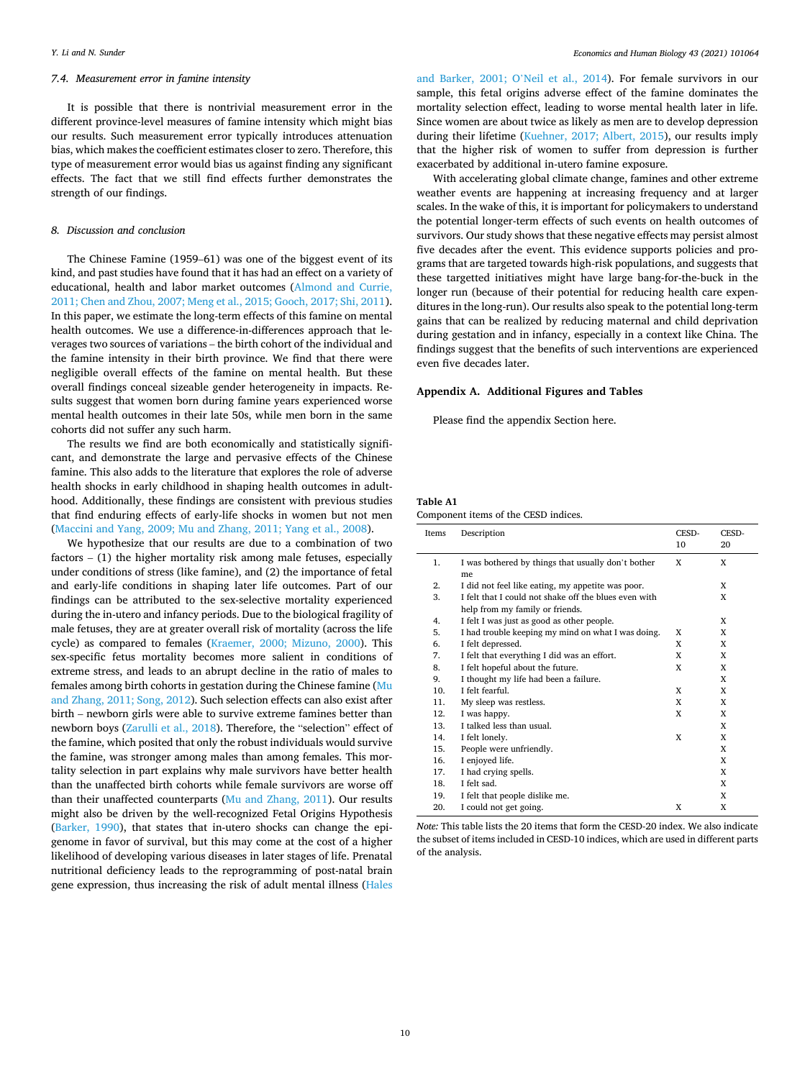### <span id="page-9-0"></span>*7.4. Measurement error in famine intensity*

It is possible that there is nontrivial measurement error in the different province-level measures of famine intensity which might bias our results. Such measurement error typically introduces attenuation bias, which makes the coefficient estimates closer to zero. Therefore, this type of measurement error would bias us against finding any significant effects. The fact that we still find effects further demonstrates the strength of our findings.

### *8. Discussion and conclusion*

The Chinese Famine (1959–61) was one of the biggest event of its kind, and past studies have found that it has had an effect on a variety of educational, health and labor market outcomes ([Almond and Currie,](#page-14-0)  [2011; Chen and Zhou, 2007; Meng et al., 2015; Gooch, 2017; Shi, 2011](#page-14-0)). In this paper, we estimate the long-term effects of this famine on mental health outcomes. We use a difference-in-differences approach that leverages two sources of variations – the birth cohort of the individual and the famine intensity in their birth province. We find that there were negligible overall effects of the famine on mental health. But these overall findings conceal sizeable gender heterogeneity in impacts. Results suggest that women born during famine years experienced worse mental health outcomes in their late 50s, while men born in the same cohorts did not suffer any such harm.

The results we find are both economically and statistically significant, and demonstrate the large and pervasive effects of the Chinese famine. This also adds to the literature that explores the role of adverse health shocks in early childhood in shaping health outcomes in adulthood. Additionally, these findings are consistent with previous studies that find enduring effects of early-life shocks in women but not men ([Maccini and Yang, 2009; Mu and Zhang, 2011; Yang et al., 2008](#page-14-0)).

We hypothesize that our results are due to a combination of two factors  $-$  (1) the higher mortality risk among male fetuses, especially under conditions of stress (like famine), and (2) the importance of fetal and early-life conditions in shaping later life outcomes. Part of our findings can be attributed to the sex-selective mortality experienced during the in-utero and infancy periods. Due to the biological fragility of male fetuses, they are at greater overall risk of mortality (across the life cycle) as compared to females [\(Kraemer, 2000; Mizuno, 2000\)](#page-14-0). This sex-specific fetus mortality becomes more salient in conditions of extreme stress, and leads to an abrupt decline in the ratio of males to females among birth cohorts in gestation during the Chinese famine [\(Mu](#page-14-0)  [and Zhang, 2011; Song, 2012](#page-14-0)). Such selection effects can also exist after birth – newborn girls were able to survive extreme famines better than newborn boys ([Zarulli et al., 2018\)](#page-15-0). Therefore, the "selection" effect of the famine, which posited that only the robust individuals would survive the famine, was stronger among males than among females. This mortality selection in part explains why male survivors have better health than the unaffected birth cohorts while female survivors are worse off than their unaffected counterparts ([Mu and Zhang, 2011](#page-14-0)). Our results might also be driven by the well-recognized Fetal Origins Hypothesis ([Barker, 1990\)](#page-14-0), that states that in-utero shocks can change the epigenome in favor of survival, but this may come at the cost of a higher likelihood of developing various diseases in later stages of life. Prenatal nutritional deficiency leads to the reprogramming of post-natal brain gene expression, thus increasing the risk of adult mental illness [\(Hales](#page-14-0) 

[and Barker, 2001; O](#page-14-0)'Neil et al., 2014). For female survivors in our sample, this fetal origins adverse effect of the famine dominates the mortality selection effect, leading to worse mental health later in life. Since women are about twice as likely as men are to develop depression during their lifetime ([Kuehner, 2017; Albert, 2015](#page-14-0)), our results imply that the higher risk of women to suffer from depression is further exacerbated by additional in-utero famine exposure.

With accelerating global climate change, famines and other extreme weather events are happening at increasing frequency and at larger scales. In the wake of this, it is important for policymakers to understand the potential longer-term effects of such events on health outcomes of survivors. Our study shows that these negative effects may persist almost five decades after the event. This evidence supports policies and programs that are targeted towards high-risk populations, and suggests that these targetted initiatives might have large bang-for-the-buck in the longer run (because of their potential for reducing health care expenditures in the long-run). Our results also speak to the potential long-term gains that can be realized by reducing maternal and child deprivation during gestation and in infancy, especially in a context like China. The findings suggest that the benefits of such interventions are experienced even five decades later.

### **Appendix A. Additional Figures and Tables**

Please find the appendix Section here.

# **Table A1**

Component items of the CESD indices.

| Items | Description                                           | CESD- | CESD- |
|-------|-------------------------------------------------------|-------|-------|
|       |                                                       | 10    | 20    |
| 1.    | I was bothered by things that usually don't bother    | X     | X     |
|       | me                                                    |       |       |
| 2.    | I did not feel like eating, my appetite was poor.     |       | X     |
| 3.    | I felt that I could not shake off the blues even with |       | X     |
|       | help from my family or friends.                       |       |       |
| 4.    | I felt I was just as good as other people.            |       | X     |
| 5.    | I had trouble keeping my mind on what I was doing.    | X     | X     |
| 6.    | I felt depressed.                                     | X     | X     |
| 7.    | I felt that everything I did was an effort.           | X     | X     |
| 8.    | I felt hopeful about the future.                      | X     | X     |
| 9.    | I thought my life had been a failure.                 |       | X     |
| 10.   | I felt fearful.                                       | X     | X     |
| 11.   | My sleep was restless.                                | X     | X     |
| 12.   | I was happy.                                          | X     | X     |
| 13.   | I talked less than usual.                             |       | X     |
| 14.   | I felt lonely.                                        | X     | X     |
| 15.   | People were unfriendly.                               |       | X     |
| 16.   | I enjoyed life.                                       |       | X     |
| 17.   | I had crying spells.                                  |       | X     |
| 18.   | I felt sad.                                           |       | X     |
| 19.   | I felt that people dislike me.                        |       | X     |
| 20.   | I could not get going.                                | X     | X     |

*Note:* This table lists the 20 items that form the CESD-20 index. We also indicate the subset of items included in CESD-10 indices, which are used in different parts of the analysis.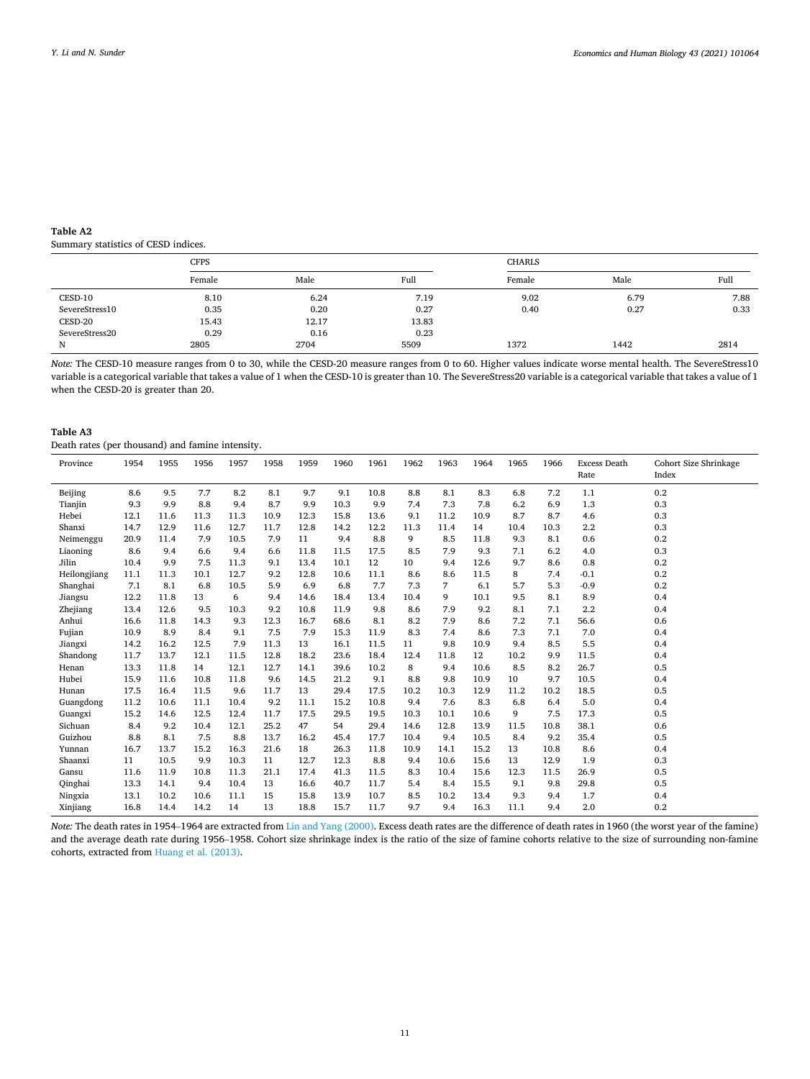# <span id="page-10-0"></span>**Table A2**

Summary statistics of CESD indices.

|                | <b>CFPS</b> |       |       | <b>CHARLS</b> |      |      |  |
|----------------|-------------|-------|-------|---------------|------|------|--|
|                | Female      | Male  | Full  | Female        | Male | Full |  |
| CESD-10        | 8.10        | 6.24  | 7.19  | 9.02          | 6.79 | 7.88 |  |
| SevereStress10 | 0.35        | 0.20  | 0.27  | 0.40          | 0.27 | 0.33 |  |
| CESD-20        | 15.43       | 12.17 | 13.83 |               |      |      |  |
| SevereStress20 | 0.29        | 0.16  | 0.23  |               |      |      |  |
| N              | 2805        | 2704  | 5509  | 1372          | 1442 | 2814 |  |

*Note:* The CESD-10 measure ranges from 0 to 30, while the CESD-20 measure ranges from 0 to 60. Higher values indicate worse mental health. The SevereStress10 variable is a categorical variable that takes a value of 1 when the CESD-10 is greater than 10. The SevereStress20 variable is a categorical variable that takes a value of 1 when the CESD-20 is greater than 20.

# **Table A3**

Death rates (per thousand) and famine intensity.

| Province     | 1954 | 1955 | 1956 | 1957 | 1958 | 1959 | 1960 | 1961 | 1962 | 1963 | 1964 | 1965 | 1966 | <b>Excess Death</b><br>Rate | Cohort Size Shrinkage<br>Index |
|--------------|------|------|------|------|------|------|------|------|------|------|------|------|------|-----------------------------|--------------------------------|
|              |      |      |      |      |      |      |      |      |      |      |      |      |      |                             |                                |
| Beijing      | 8.6  | 9.5  | 7.7  | 8.2  | 8.1  | 9.7  | 9.1  | 10.8 | 8.8  | 8.1  | 8.3  | 6.8  | 7.2  | 1.1                         | 0.2                            |
| Tianjin      | 9.3  | 9.9  | 8.8  | 9.4  | 8.7  | 9.9  | 10.3 | 9.9  | 7.4  | 7.3  | 7.8  | 6.2  | 6.9  | 1.3                         | 0.3                            |
| Hebei        | 12.1 | 11.6 | 11.3 | 11.3 | 10.9 | 12.3 | 15.8 | 13.6 | 9.1  | 11.2 | 10.9 | 8.7  | 8.7  | 4.6                         | 0.3                            |
| Shanxi       | 14.7 | 12.9 | 11.6 | 12.7 | 11.7 | 12.8 | 14.2 | 12.2 | 11.3 | 11.4 | 14   | 10.4 | 10.3 | 2.2                         | 0.3                            |
| Neimenggu    | 20.9 | 11.4 | 7.9  | 10.5 | 7.9  | 11   | 9.4  | 8.8  | 9    | 8.5  | 11.8 | 9.3  | 8.1  | 0.6                         | 0.2                            |
| Liaoning     | 8.6  | 9.4  | 6.6  | 9.4  | 6.6  | 11.8 | 11.5 | 17.5 | 8.5  | 7.9  | 9.3  | 7.1  | 6.2  | 4.0                         | 0.3                            |
| Jilin        | 10.4 | 9.9  | 7.5  | 11.3 | 9.1  | 13.4 | 10.1 | 12   | 10   | 9.4  | 12.6 | 9.7  | 8.6  | 0.8                         | 0.2                            |
| Heilongjiang | 11.1 | 11.3 | 10.1 | 12.7 | 9.2  | 12.8 | 10.6 | 11.1 | 8.6  | 8.6  | 11.5 | 8    | 7.4  | $-0.1$                      | 0.2                            |
| Shanghai     | 7.1  | 8.1  | 6.8  | 10.5 | 5.9  | 6.9  | 6.8  | 7.7  | 7.3  | 7    | 6.1  | 5.7  | 5.3  | $-0.9$                      | 0.2                            |
| Jiangsu      | 12.2 | 11.8 | 13   | 6    | 9.4  | 14.6 | 18.4 | 13.4 | 10.4 | 9    | 10.1 | 9.5  | 8.1  | 8.9                         | 0.4                            |
| Zhejiang     | 13.4 | 12.6 | 9.5  | 10.3 | 9.2  | 10.8 | 11.9 | 9.8  | 8.6  | 7.9  | 9.2  | 8.1  | 7.1  | 2.2                         | 0.4                            |
| Anhui        | 16.6 | 11.8 | 14.3 | 9.3  | 12.3 | 16.7 | 68.6 | 8.1  | 8.2  | 7.9  | 8.6  | 7.2  | 7.1  | 56.6                        | 0.6                            |
| Fujian       | 10.9 | 8.9  | 8.4  | 9.1  | 7.5  | 7.9  | 15.3 | 11.9 | 8.3  | 7.4  | 8.6  | 7.3  | 7.1  | 7.0                         | 0.4                            |
| Jiangxi      | 14.2 | 16.2 | 12.5 | 7.9  | 11.3 | 13   | 16.1 | 11.5 | 11   | 9.8  | 10.9 | 9.4  | 8.5  | 5.5                         | 0.4                            |
| Shandong     | 11.7 | 13.7 | 12.1 | 11.5 | 12.8 | 18.2 | 23.6 | 18.4 | 12.4 | 11.8 | 12   | 10.2 | 9.9  | 11.5                        | 0.4                            |
| Henan        | 13.3 | 11.8 | 14   | 12.1 | 12.7 | 14.1 | 39.6 | 10.2 | 8    | 9.4  | 10.6 | 8.5  | 8.2  | 26.7                        | 0.5                            |
| Hubei        | 15.9 | 11.6 | 10.8 | 11.8 | 9.6  | 14.5 | 21.2 | 9.1  | 8.8  | 9.8  | 10.9 | 10   | 9.7  | 10.5                        | 0.4                            |
| Hunan        | 17.5 | 16.4 | 11.5 | 9.6  | 11.7 | 13   | 29.4 | 17.5 | 10.2 | 10.3 | 12.9 | 11.2 | 10.2 | 18.5                        | 0.5                            |
| Guangdong    | 11.2 | 10.6 | 11.1 | 10.4 | 9.2  | 11.1 | 15.2 | 10.8 | 9.4  | 7.6  | 8.3  | 6.8  | 6.4  | 5.0                         | 0.4                            |
| Guangxi      | 15.2 | 14.6 | 12.5 | 12.4 | 11.7 | 17.5 | 29.5 | 19.5 | 10.3 | 10.1 | 10.6 | 9    | 7.5  | 17.3                        | 0.5                            |
| Sichuan      | 8.4  | 9.2  | 10.4 | 12.1 | 25.2 | 47   | 54   | 29.4 | 14.6 | 12.8 | 13.9 | 11.5 | 10.8 | 38.1                        | 0.6                            |
| Guizhou      | 8.8  | 8.1  | 7.5  | 8.8  | 13.7 | 16.2 | 45.4 | 17.7 | 10.4 | 9.4  | 10.5 | 8.4  | 9.2  | 35.4                        | 0.5                            |
| Yunnan       | 16.7 | 13.7 | 15.2 | 16.3 | 21.6 | 18   | 26.3 | 11.8 | 10.9 | 14.1 | 15.2 | 13   | 10.8 | 8.6                         | 0.4                            |
| Shaanxi      | 11   | 10.5 | 9.9  | 10.3 | 11   | 12.7 | 12.3 | 8.8  | 9.4  | 10.6 | 15.6 | 13   | 12.9 | 1.9                         | 0.3                            |
| Gansu        | 11.6 | 11.9 | 10.8 | 11.3 | 21.1 | 17.4 | 41.3 | 11.5 | 8.3  | 10.4 | 15.6 | 12.3 | 11.5 | 26.9                        | 0.5                            |
| Qinghai      | 13.3 | 14.1 | 9.4  | 10.4 | 13   | 16.6 | 40.7 | 11.7 | 5.4  | 8.4  | 15.5 | 9.1  | 9.8  | 29.8                        | 0.5                            |
| Ningxia      | 13.1 | 10.2 | 10.6 | 11.1 | 15   | 15.8 | 13.9 | 10.7 | 8.5  | 10.2 | 13.4 | 9.3  | 9.4  | 1.7                         | 0.4                            |
| Xinjiang     | 16.8 | 14.4 | 14.2 | 14   | 13   | 18.8 | 15.7 | 11.7 | 9.7  | 9.4  | 16.3 | 11.1 | 9.4  | 2.0                         | 0.2                            |

*Note:* The death rates in 1954–1964 are extracted from [Lin and Yang \(2000\).](#page-14-0) Excess death rates are the difference of death rates in 1960 (the worst year of the famine) and the average death rate during 1956–1958. Cohort size shrinkage index is the ratio of the size of famine cohorts relative to the size of surrounding non-famine cohorts, extracted from [Huang et al. \(2013\).](#page-14-0)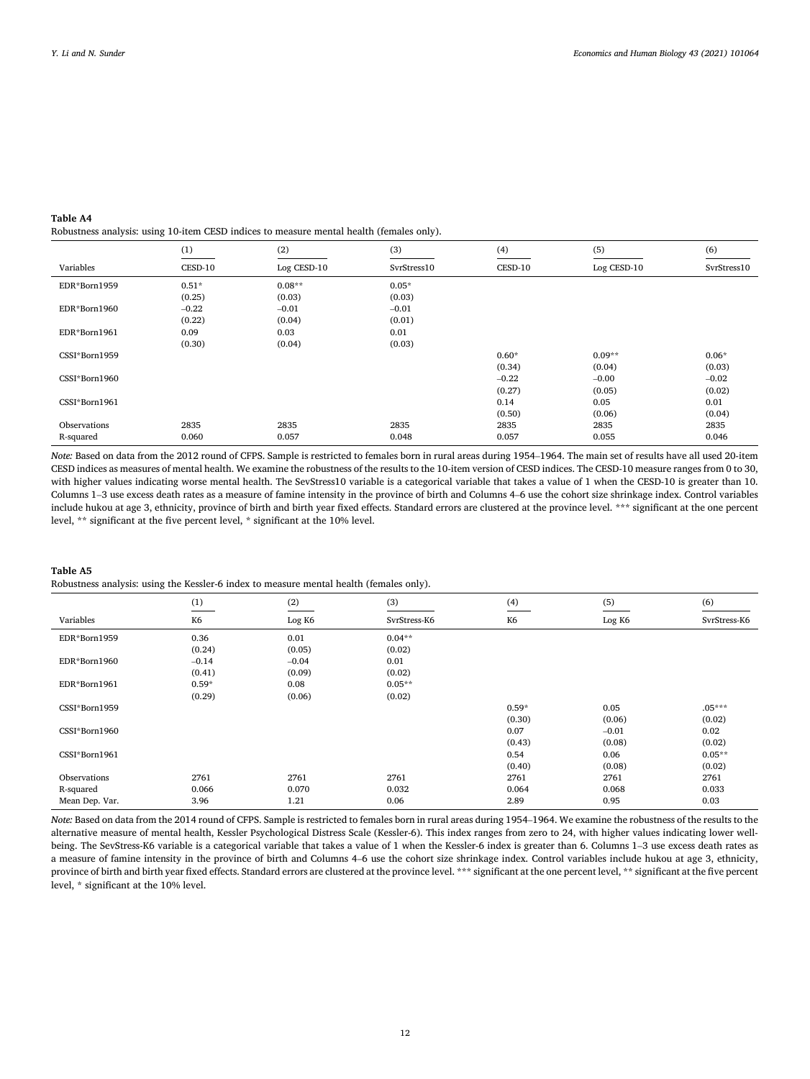<span id="page-11-0"></span>**Table A4**  Robustness analysis: using 10-item CESD indices to measure mental health (females only).

|               | (1)     | (2)         | (3)         | (4)     | (5)         | (6)         |
|---------------|---------|-------------|-------------|---------|-------------|-------------|
| Variables     | CESD-10 | Log CESD-10 | SvrStress10 | CESD-10 | Log CESD-10 | SvrStress10 |
| EDR*Born1959  | $0.51*$ | $0.08**$    | $0.05*$     |         |             |             |
|               | (0.25)  | (0.03)      | (0.03)      |         |             |             |
| EDR*Born1960  | $-0.22$ | $-0.01$     | $-0.01$     |         |             |             |
|               | (0.22)  | (0.04)      | (0.01)      |         |             |             |
| EDR*Born1961  | 0.09    | 0.03        | 0.01        |         |             |             |
|               | (0.30)  | (0.04)      | (0.03)      |         |             |             |
| CSSI*Born1959 |         |             |             | $0.60*$ | $0.09**$    | $0.06*$     |
|               |         |             |             | (0.34)  | (0.04)      | (0.03)      |
| CSSI*Born1960 |         |             |             | $-0.22$ | $-0.00$     | $-0.02$     |
|               |         |             |             | (0.27)  | (0.05)      | (0.02)      |
| CSSI*Born1961 |         |             |             | 0.14    | 0.05        | 0.01        |
|               |         |             |             | (0.50)  | (0.06)      | (0.04)      |
| Observations  | 2835    | 2835        | 2835        | 2835    | 2835        | 2835        |
| R-squared     | 0.060   | 0.057       | 0.048       | 0.057   | 0.055       | 0.046       |

*Note:* Based on data from the 2012 round of CFPS. Sample is restricted to females born in rural areas during 1954–1964. The main set of results have all used 20-item CESD indices as measures of mental health. We examine the robustness of the results to the 10-item version of CESD indices. The CESD-10 measure ranges from 0 to 30, with higher values indicating worse mental health. The SevStress10 variable is a categorical variable that takes a value of 1 when the CESD-10 is greater than 10. Columns 1–3 use excess death rates as a measure of famine intensity in the province of birth and Columns 4–6 use the cohort size shrinkage index. Control variables include hukou at age 3, ethnicity, province of birth and birth year fixed effects. Standard errors are clustered at the province level. \*\*\* significant at the one percent level, \*\* significant at the five percent level, \* significant at the 10% level.

# **Table A5**

Robustness analysis: using the Kessler-6 index to measure mental health (females only).

|                | (1)            | (2)     | (3)          | (4)     | (5)     | (6)          |
|----------------|----------------|---------|--------------|---------|---------|--------------|
| Variables      | K <sub>6</sub> | Log K6  | SvrStress-K6 | K6      | Log K6  | SvrStress-K6 |
| EDR*Born1959   | 0.36           | 0.01    | $0.04**$     |         |         |              |
|                | (0.24)         | (0.05)  | (0.02)       |         |         |              |
| EDR*Born1960   | $-0.14$        | $-0.04$ | 0.01         |         |         |              |
|                | (0.41)         | (0.09)  | (0.02)       |         |         |              |
| EDR*Born1961   | $0.59*$        | 0.08    | $0.05**$     |         |         |              |
|                | (0.29)         | (0.06)  | (0.02)       |         |         |              |
| CSSI*Born1959  |                |         |              | $0.59*$ | 0.05    | $.05***$     |
|                |                |         |              | (0.30)  | (0.06)  | (0.02)       |
| CSSI*Born1960  |                |         |              | 0.07    | $-0.01$ | 0.02         |
|                |                |         |              | (0.43)  | (0.08)  | (0.02)       |
| CSSI*Born1961  |                |         |              | 0.54    | 0.06    | $0.05**$     |
|                |                |         |              | (0.40)  | (0.08)  | (0.02)       |
| Observations   | 2761           | 2761    | 2761         | 2761    | 2761    | 2761         |
| R-squared      | 0.066          | 0.070   | 0.032        | 0.064   | 0.068   | 0.033        |
| Mean Dep. Var. | 3.96           | 1.21    | 0.06         | 2.89    | 0.95    | 0.03         |

*Note:* Based on data from the 2014 round of CFPS. Sample is restricted to females born in rural areas during 1954–1964. We examine the robustness of the results to the alternative measure of mental health, Kessler Psychological Distress Scale (Kessler-6). This index ranges from zero to 24, with higher values indicating lower wellbeing. The SevStress-K6 variable is a categorical variable that takes a value of 1 when the Kessler-6 index is greater than 6. Columns 1-3 use excess death rates as a measure of famine intensity in the province of birth and Columns 4–6 use the cohort size shrinkage index. Control variables include hukou at age 3, ethnicity, province of birth and birth year fixed effects. Standard errors are clustered at the province level. \*\*\* significant at the one percent level, \*\* significant at the five percent level, \* significant at the 10% level.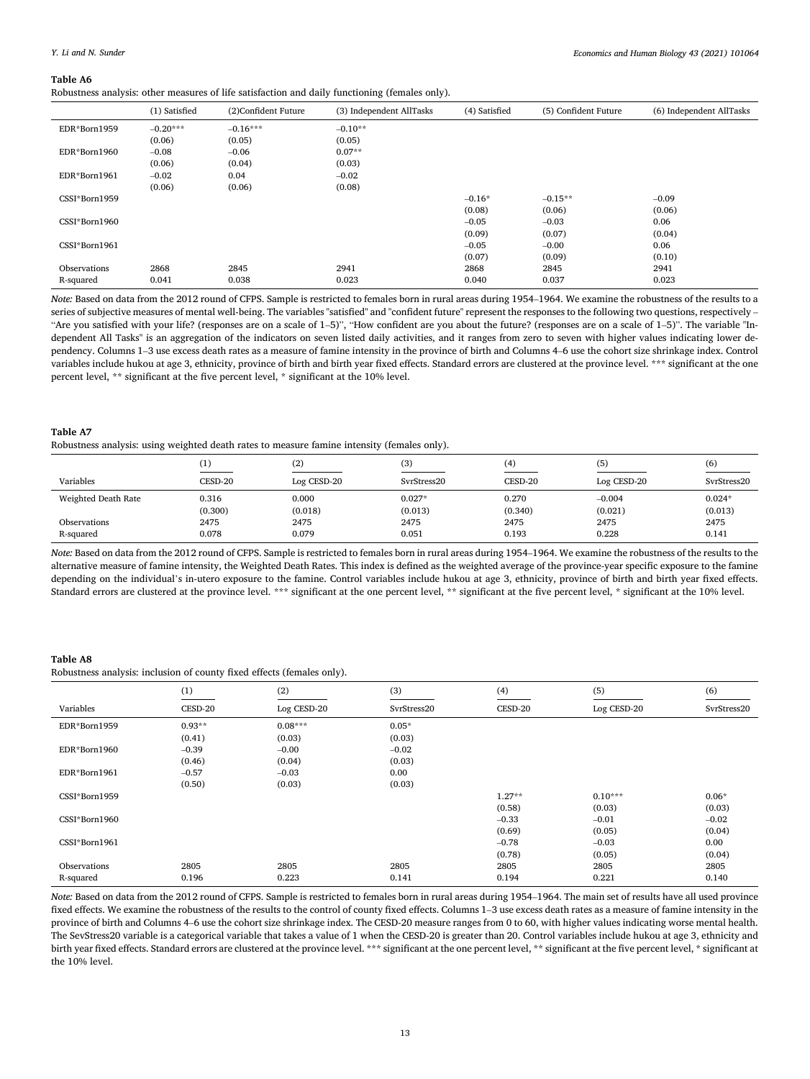#### *Economics and Human Biology 43 (2021) 101064*

#### <span id="page-12-0"></span>**Table A6**

Robustness analysis: other measures of life satisfaction and daily functioning (females only).

|               | (1) Satisfied | (2)Confident Future | (3) Independent AllTasks | (4) Satisfied | (5) Confident Future | (6) Independent AllTasks |
|---------------|---------------|---------------------|--------------------------|---------------|----------------------|--------------------------|
| EDR*Born1959  | $-0.20***$    | $-0.16***$          | $-0.10**$                |               |                      |                          |
|               | (0.06)        | (0.05)              | (0.05)                   |               |                      |                          |
| EDR*Born1960  | $-0.08$       | $-0.06$             | $0.07**$                 |               |                      |                          |
|               | (0.06)        | (0.04)              | (0.03)                   |               |                      |                          |
| EDR*Born1961  | $-0.02$       | 0.04                | $-0.02$                  |               |                      |                          |
|               | (0.06)        | (0.06)              | (0.08)                   |               |                      |                          |
| CSSI*Born1959 |               |                     |                          | $-0.16*$      | $-0.15**$            | $-0.09$                  |
|               |               |                     |                          | (0.08)        | (0.06)               | (0.06)                   |
| CSSI*Born1960 |               |                     |                          | $-0.05$       | $-0.03$              | 0.06                     |
|               |               |                     |                          | (0.09)        | (0.07)               | (0.04)                   |
| CSSI*Born1961 |               |                     |                          | $-0.05$       | $-0.00$              | 0.06                     |
|               |               |                     |                          | (0.07)        | (0.09)               | (0.10)                   |
| Observations  | 2868          | 2845                | 2941                     | 2868          | 2845                 | 2941                     |
| R-squared     | 0.041         | 0.038               | 0.023                    | 0.040         | 0.037                | 0.023                    |

*Note:* Based on data from the 2012 round of CFPS. Sample is restricted to females born in rural areas during 1954–1964. We examine the robustness of the results to a series of subjective measures of mental well-being. The variables "satisfied" and "confident future" represent the responses to the following two questions, respectively -"Are you satisfied with your life? (responses are on a scale of 1–5)", "How confident are you about the future? (responses are on a scale of 1–5)". The variable "Independent All Tasks" is an aggregation of the indicators on seven listed daily activities, and it ranges from zero to seven with higher values indicating lower dependency. Columns 1–3 use excess death rates as a measure of famine intensity in the province of birth and Columns 4–6 use the cohort size shrinkage index. Control variables include hukou at age 3, ethnicity, province of birth and birth year fixed effects. Standard errors are clustered at the province level. \*\*\* significant at the one percent level, \*\* significant at the five percent level, \* significant at the 10% level.

### **Table A7**

Robustness analysis: using weighted death rates to measure famine intensity (females only).

|                     | $\scriptstyle{(1)}$ | (2)         | (3)         | (4)     | (5)         | (6)         |
|---------------------|---------------------|-------------|-------------|---------|-------------|-------------|
| Variables           | CESD-20             | Log CESD-20 | SvrStress20 | CESD-20 | Log CESD-20 | SvrStress20 |
| Weighted Death Rate | 0.316               | 0.000       | $0.027*$    | 0.270   | $-0.004$    | $0.024*$    |
|                     | (0.300)             | (0.018)     | (0.013)     | (0.340) | (0.021)     | (0.013)     |
| Observations        | 2475                | 2475        | 2475        | 2475    | 2475        | 2475        |
| R-squared           | 0.078               | 0.079       | 0.051       | 0.193   | 0.228       | 0.141       |

*Note:* Based on data from the 2012 round of CFPS. Sample is restricted to females born in rural areas during 1954–1964. We examine the robustness of the results to the alternative measure of famine intensity, the Weighted Death Rates. This index is defined as the weighted average of the province-year specific exposure to the famine depending on the individual's in-utero exposure to the famine. Control variables include hukou at age 3, ethnicity, province of birth and birth year fixed effects. Standard errors are clustered at the province level. \*\*\* significant at the one percent level, \*\* significant at the five percent level, \* significant at the 10% level.

#### **Table A8**

Robustness analysis: inclusion of county fixed effects (females only).

|               | (1)      | (2)         | (3)         | (4)      | (5)         | (6)         |
|---------------|----------|-------------|-------------|----------|-------------|-------------|
| Variables     | CESD-20  | Log CESD-20 | SvrStress20 | CESD-20  | Log CESD-20 | SvrStress20 |
| EDR*Born1959  | $0.93**$ | $0.08***$   | $0.05*$     |          |             |             |
|               | (0.41)   | (0.03)      | (0.03)      |          |             |             |
| EDR*Born1960  | $-0.39$  | $-0.00$     | $-0.02$     |          |             |             |
|               | (0.46)   | (0.04)      | (0.03)      |          |             |             |
| EDR*Born1961  | $-0.57$  | $-0.03$     | 0.00        |          |             |             |
|               | (0.50)   | (0.03)      | (0.03)      |          |             |             |
| CSSI*Born1959 |          |             |             | $1.27**$ | $0.10***$   | $0.06*$     |
|               |          |             |             | (0.58)   | (0.03)      | (0.03)      |
| CSSI*Born1960 |          |             |             | $-0.33$  | $-0.01$     | $-0.02$     |
|               |          |             |             | (0.69)   | (0.05)      | (0.04)      |
| CSSI*Born1961 |          |             |             | $-0.78$  | $-0.03$     | 0.00        |
|               |          |             |             | (0.78)   | (0.05)      | (0.04)      |
| Observations  | 2805     | 2805        | 2805        | 2805     | 2805        | 2805        |
| R-squared     | 0.196    | 0.223       | 0.141       | 0.194    | 0.221       | 0.140       |

*Note:* Based on data from the 2012 round of CFPS. Sample is restricted to females born in rural areas during 1954–1964. The main set of results have all used province fixed effects. We examine the robustness of the results to the control of county fixed effects. Columns 1–3 use excess death rates as a measure of famine intensity in the province of birth and Columns 4–6 use the cohort size shrinkage index. The CESD-20 measure ranges from 0 to 60, with higher values indicating worse mental health. The SevStress20 variable is a categorical variable that takes a value of 1 when the CESD-20 is greater than 20. Control variables include hukou at age 3, ethnicity and birth year fixed effects. Standard errors are clustered at the province level. \*\*\* significant at the one percent level, \*\* significant at the five percent level, \* significant at the 10% level.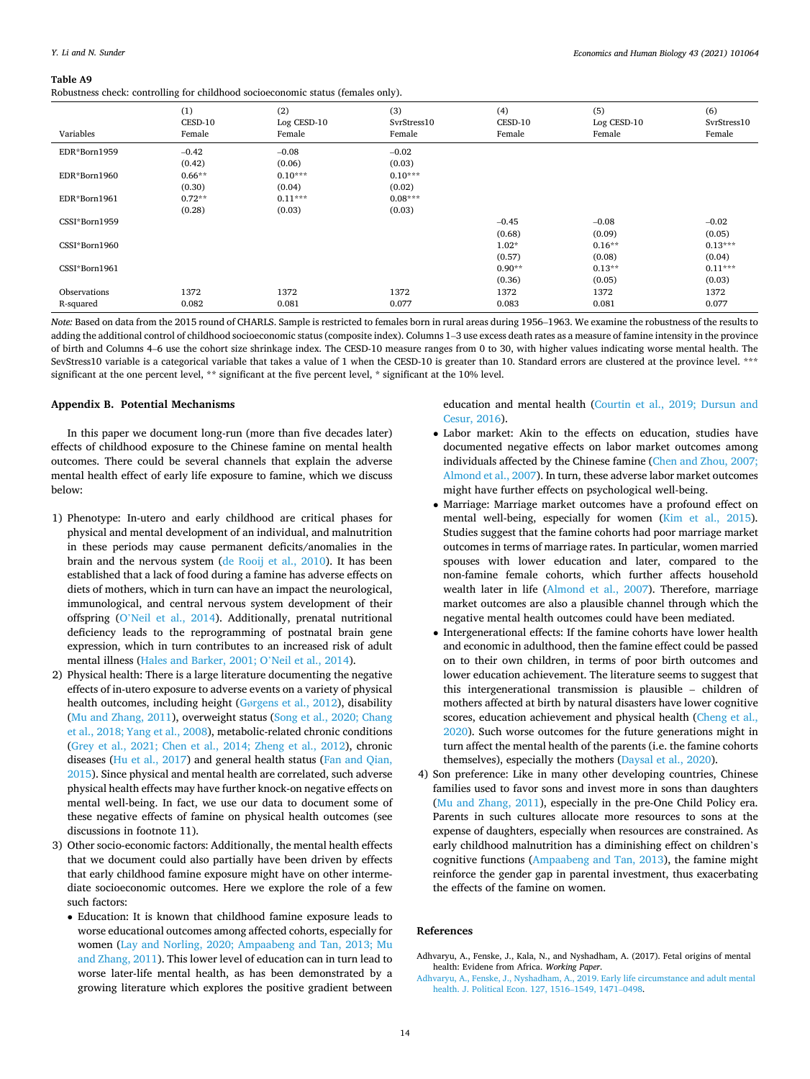#### <span id="page-13-0"></span>**Table A9**

Robustness check: controlling for childhood socioeconomic status (females only).

| Variables     | (1)<br>CESD-10<br>Female | (2)<br>Log CESD-10<br>Female | (3)<br>SvrStress10<br>Female | (4)<br>CESD-10<br>Female | (5)<br>Log CESD-10<br>Female | (6)<br>SvrStress10<br>Female |
|---------------|--------------------------|------------------------------|------------------------------|--------------------------|------------------------------|------------------------------|
| EDR*Born1959  | $-0.42$                  | $-0.08$                      | $-0.02$                      |                          |                              |                              |
|               | (0.42)                   | (0.06)                       | (0.03)                       |                          |                              |                              |
| EDR*Born1960  | $0.66**$                 | $0.10***$                    | $0.10***$                    |                          |                              |                              |
|               | (0.30)                   | (0.04)                       | (0.02)                       |                          |                              |                              |
| EDR*Born1961  | $0.72**$                 | $0.11***$                    | $0.08***$                    |                          |                              |                              |
|               | (0.28)                   | (0.03)                       | (0.03)                       |                          |                              |                              |
| CSSI*Born1959 |                          |                              |                              | $-0.45$                  | $-0.08$                      | $-0.02$                      |
|               |                          |                              |                              | (0.68)                   | (0.09)                       | (0.05)                       |
| CSSI*Born1960 |                          |                              |                              | $1.02*$                  | $0.16**$                     | $0.13***$                    |
|               |                          |                              |                              | (0.57)                   | (0.08)                       | (0.04)                       |
| CSSI*Born1961 |                          |                              |                              | $0.90**$                 | $0.13**$                     | $0.11***$                    |
|               |                          |                              |                              | (0.36)                   | (0.05)                       | (0.03)                       |
| Observations  | 1372                     | 1372                         | 1372                         | 1372                     | 1372                         | 1372                         |
| R-squared     | 0.082                    | 0.081                        | 0.077                        | 0.083                    | 0.081                        | 0.077                        |

*Note:* Based on data from the 2015 round of CHARLS. Sample is restricted to females born in rural areas during 1956–1963. We examine the robustness of the results to adding the additional control of childhood socioeconomic status (composite index). Columns 1–3 use excess death rates as a measure of famine intensity in the province of birth and Columns 4–6 use the cohort size shrinkage index. The CESD-10 measure ranges from 0 to 30, with higher values indicating worse mental health. The SevStress10 variable is a categorical variable that takes a value of 1 when the CESD-10 is greater than 10. Standard errors are clustered at the province level. \*\*\* significant at the one percent level, \*\* significant at the five percent level, \* significant at the 10% level.

#### **Appendix B. Potential Mechanisms**

In this paper we document long-run (more than five decades later) effects of childhood exposure to the Chinese famine on mental health outcomes. There could be several channels that explain the adverse mental health effect of early life exposure to famine, which we discuss below:

- 1) Phenotype: In-utero and early childhood are critical phases for physical and mental development of an individual, and malnutrition in these periods may cause permanent deficits/anomalies in the brain and the nervous system ([de Rooij et al., 2010\)](#page-14-0). It has been established that a lack of food during a famine has adverse effects on diets of mothers, which in turn can have an impact the neurological, immunological, and central nervous system development of their offspring (O'[Neil et al., 2014](#page-14-0)). Additionally, prenatal nutritional deficiency leads to the reprogramming of postnatal brain gene expression, which in turn contributes to an increased risk of adult mental illness ([Hales and Barker, 2001; O](#page-14-0)'Neil et al., 2014).
- 2) Physical health: There is a large literature documenting the negative effects of in-utero exposure to adverse events on a variety of physical health outcomes, including height (Gø[rgens et al., 2012](#page-14-0)), disability [\(Mu and Zhang, 2011](#page-14-0)), overweight status ([Song et al., 2020; Chang](#page-14-0)  [et al., 2018; Yang et al., 2008\)](#page-14-0), metabolic-related chronic conditions [\(Grey et al., 2021; Chen et al., 2014; Zheng et al., 2012\)](#page-14-0), chronic diseases [\(Hu et al., 2017](#page-14-0)) and general health status [\(Fan and Qian,](#page-14-0)  [2015](#page-14-0)). Since physical and mental health are correlated, such adverse physical health effects may have further knock-on negative effects on mental well-being. In fact, we use our data to document some of these negative effects of famine on physical health outcomes (see discussions in footnote 11).
- 3) Other socio-economic factors: Additionally, the mental health effects that we document could also partially have been driven by effects that early childhood famine exposure might have on other intermediate socioeconomic outcomes. Here we explore the role of a few such factors:
	- Education: It is known that childhood famine exposure leads to worse educational outcomes among affected cohorts, especially for women ([Lay and Norling, 2020; Ampaabeng and Tan, 2013; Mu](#page-14-0)  [and Zhang, 2011\)](#page-14-0). This lower level of education can in turn lead to worse later-life mental health, as has been demonstrated by a growing literature which explores the positive gradient between

education and mental health [\(Courtin et al., 2019; Dursun and](#page-14-0)  [Cesur, 2016](#page-14-0)).

- Labor market: Akin to the effects on education, studies have documented negative effects on labor market outcomes among individuals affected by the Chinese famine [\(Chen and Zhou, 2007;](#page-14-0)  [Almond et al., 2007\)](#page-14-0). In turn, these adverse labor market outcomes might have further effects on psychological well-being.
- Marriage: Marriage market outcomes have a profound effect on mental well-being, especially for women ([Kim et al., 2015](#page-14-0)). Studies suggest that the famine cohorts had poor marriage market outcomes in terms of marriage rates. In particular, women married spouses with lower education and later, compared to the non-famine female cohorts, which further affects household wealth later in life [\(Almond et al., 2007\)](#page-14-0). Therefore, marriage market outcomes are also a plausible channel through which the negative mental health outcomes could have been mediated.
- Intergenerational effects: If the famine cohorts have lower health and economic in adulthood, then the famine effect could be passed on to their own children, in terms of poor birth outcomes and lower education achievement. The literature seems to suggest that this intergenerational transmission is plausible – children of mothers affected at birth by natural disasters have lower cognitive scores, education achievement and physical health ([Cheng et al.,](#page-14-0)  [2020](#page-14-0)). Such worse outcomes for the future generations might in turn affect the mental health of the parents (i.e. the famine cohorts themselves), especially the mothers [\(Daysal et al., 2020](#page-14-0)).
- 4) Son preference: Like in many other developing countries, Chinese families used to favor sons and invest more in sons than daughters ([Mu and Zhang, 2011\)](#page-14-0), especially in the pre-One Child Policy era. Parents in such cultures allocate more resources to sons at the expense of daughters, especially when resources are constrained. As early childhood malnutrition has a diminishing effect on children's cognitive functions ([Ampaabeng and Tan, 2013](#page-14-0)), the famine might reinforce the gender gap in parental investment, thus exacerbating the effects of the famine on women.

### **References**

Adhvaryu, A., Fenske, J., Kala, N., and Nyshadham, A. (2017). Fetal origins of mental health: Evidene from Africa. *Working Paper*.

[Adhvaryu, A., Fenske, J., Nyshadham, A., 2019. Early life circumstance and adult mental](http://refhub.elsevier.com/S1570-677X(21)00089-7/sbref1)  [health. J. Political Econ. 127, 1516](http://refhub.elsevier.com/S1570-677X(21)00089-7/sbref1)–1549, 1471–0498.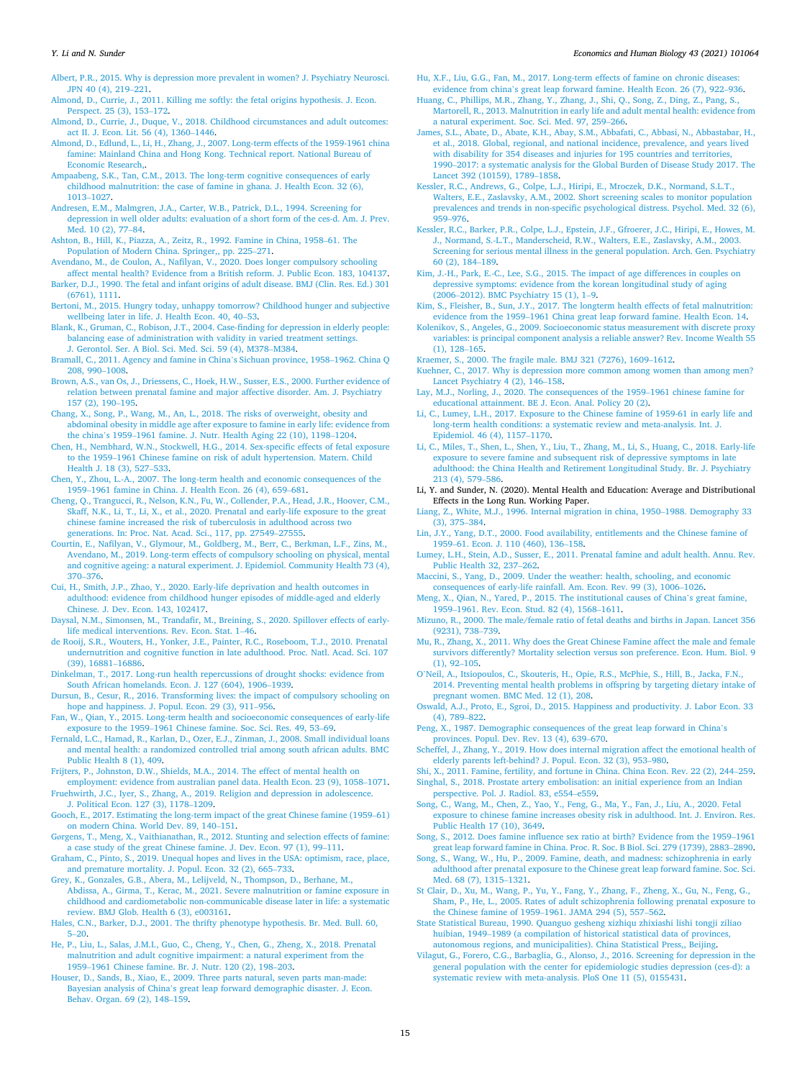#### <span id="page-14-0"></span>*Y. Li and N. Sunder*

[Albert, P.R., 2015. Why is depression more prevalent in women? J. Psychiatry Neurosci.](http://refhub.elsevier.com/S1570-677X(21)00089-7/sbref2)  [JPN 40 \(4\), 219](http://refhub.elsevier.com/S1570-677X(21)00089-7/sbref2)–221.

[Almond, D., Currie, J., 2011. Killing me softly: the fetal origins hypothesis. J. Econ.](http://refhub.elsevier.com/S1570-677X(21)00089-7/sbref3) [Perspect. 25 \(3\), 153](http://refhub.elsevier.com/S1570-677X(21)00089-7/sbref3)–172.

- [Almond, D., Currie, J., Duque, V., 2018. Childhood circumstances and adult outcomes:](http://refhub.elsevier.com/S1570-677X(21)00089-7/sbref4)  [act II. J. Econ. Lit. 56 \(4\), 1360](http://refhub.elsevier.com/S1570-677X(21)00089-7/sbref4)–1446.
- [Almond, D., Edlund, L., Li, H., Zhang, J., 2007. Long-term effects of the 1959-1961 china](http://refhub.elsevier.com/S1570-677X(21)00089-7/sbref5)  [famine: Mainland China and Hong Kong. Technical report. National Bureau of](http://refhub.elsevier.com/S1570-677X(21)00089-7/sbref5) [Economic Research,](http://refhub.elsevier.com/S1570-677X(21)00089-7/sbref5).
- [Ampaabeng, S.K., Tan, C.M., 2013. The long-term cognitive consequences of early](http://refhub.elsevier.com/S1570-677X(21)00089-7/sbref6) [childhood malnutrition: the case of famine in ghana. J. Health Econ. 32 \(6\),](http://refhub.elsevier.com/S1570-677X(21)00089-7/sbref6)  [1013](http://refhub.elsevier.com/S1570-677X(21)00089-7/sbref6)–1027.
- [Andresen, E.M., Malmgren, J.A., Carter, W.B., Patrick, D.L., 1994. Screening for](http://refhub.elsevier.com/S1570-677X(21)00089-7/sbref7)  [depression in well older adults: evaluation of a short form of the ces-d. Am. J. Prev.](http://refhub.elsevier.com/S1570-677X(21)00089-7/sbref7)  [Med. 10 \(2\), 77](http://refhub.elsevier.com/S1570-677X(21)00089-7/sbref7)–84.

[Ashton, B., Hill, K., Piazza, A., Zeitz, R., 1992. Famine in China, 1958](http://refhub.elsevier.com/S1570-677X(21)00089-7/sbref8)–61. The [Population of Modern China. Springer,, pp. 225](http://refhub.elsevier.com/S1570-677X(21)00089-7/sbref8)–271.

[Avendano, M., de Coulon, A., Nafilyan, V., 2020. Does longer compulsory schooling](http://refhub.elsevier.com/S1570-677X(21)00089-7/sbref9) 

- [affect mental health? Evidence from a British reform. J. Public Econ. 183, 104137.](http://refhub.elsevier.com/S1570-677X(21)00089-7/sbref9) [Barker, D.J., 1990. The fetal and infant origins of adult disease. BMJ \(Clin. Res. Ed.\) 301](http://refhub.elsevier.com/S1570-677X(21)00089-7/sbref10)  [\(6761\), 1111.](http://refhub.elsevier.com/S1570-677X(21)00089-7/sbref10)
- [Bertoni, M., 2015. Hungry today, unhappy tomorrow? Childhood hunger and subjective](http://refhub.elsevier.com/S1570-677X(21)00089-7/sbref11)  [wellbeing later in life. J. Health Econ. 40, 40](http://refhub.elsevier.com/S1570-677X(21)00089-7/sbref11)–53.
- [Blank, K., Gruman, C., Robison, J.T., 2004. Case-finding for depression in elderly people:](http://refhub.elsevier.com/S1570-677X(21)00089-7/sbref12)  [balancing ease of administration with validity in varied treatment settings.](http://refhub.elsevier.com/S1570-677X(21)00089-7/sbref12) [J. Gerontol. Ser. A Biol. Sci. Med. Sci. 59 \(4\), M378](http://refhub.elsevier.com/S1570-677X(21)00089-7/sbref12)–M384.
- [Bramall, C., 2011. Agency and famine in China](http://refhub.elsevier.com/S1570-677X(21)00089-7/sbref13)'s Sichuan province, 1958–1962. China Q [208, 990](http://refhub.elsevier.com/S1570-677X(21)00089-7/sbref13)–1008.
- [Brown, A.S., van Os, J., Driessens, C., Hoek, H.W., Susser, E.S., 2000. Further evidence of](http://refhub.elsevier.com/S1570-677X(21)00089-7/sbref14)  [relation between prenatal famine and major affective disorder. Am. J. Psychiatry](http://refhub.elsevier.com/S1570-677X(21)00089-7/sbref14) [157 \(2\), 190](http://refhub.elsevier.com/S1570-677X(21)00089-7/sbref14)–195.
- [Chang, X., Song, P., Wang, M., An, L., 2018. The risks of overweight, obesity and](http://refhub.elsevier.com/S1570-677X(21)00089-7/sbref15) [abdominal obesity in middle age after exposure to famine in early life: evidence from](http://refhub.elsevier.com/S1570-677X(21)00089-7/sbref15)  the china's 1959–[1961 famine. J. Nutr. Health Aging 22 \(10\), 1198](http://refhub.elsevier.com/S1570-677X(21)00089-7/sbref15)–1204.
- [Chen, H., Nembhard, W.N., Stockwell, H.G., 2014. Sex-specific effects of fetal exposure](http://refhub.elsevier.com/S1570-677X(21)00089-7/sbref16)  to the 1959–[1961 Chinese famine on risk of adult hypertension. Matern. Child](http://refhub.elsevier.com/S1570-677X(21)00089-7/sbref16)  [Health J. 18 \(3\), 527](http://refhub.elsevier.com/S1570-677X(21)00089-7/sbref16)–533.
- [Chen, Y., Zhou, L.-A., 2007. The long-term health and economic consequences of the](http://refhub.elsevier.com/S1570-677X(21)00089-7/sbref17) 1959–[1961 famine in China. J. Health Econ. 26 \(4\), 659](http://refhub.elsevier.com/S1570-677X(21)00089-7/sbref17)–681.
- [Cheng, Q., Trangucci, R., Nelson, K.N., Fu, W., Collender, P.A., Head, J.R., Hoover, C.M.,](http://refhub.elsevier.com/S1570-677X(21)00089-7/sbref18)  [Skaff, N.K., Li, T., Li, X., et al., 2020. Prenatal and early-life exposure to the great](http://refhub.elsevier.com/S1570-677X(21)00089-7/sbref18) [chinese famine increased the risk of tuberculosis in adulthood across two](http://refhub.elsevier.com/S1570-677X(21)00089-7/sbref18)  [generations. In: Proc. Nat. Acad. Sci., 117, pp. 27549](http://refhub.elsevier.com/S1570-677X(21)00089-7/sbref18)–27555.
- [Courtin, E., Nafilyan, V., Glymour, M., Goldberg, M., Berr, C., Berkman, L.F., Zins, M.,](http://refhub.elsevier.com/S1570-677X(21)00089-7/sbref19)  [Avendano, M., 2019. Long-term effects of compulsory schooling on physical, mental](http://refhub.elsevier.com/S1570-677X(21)00089-7/sbref19)  [and cognitive ageing: a natural experiment. J. Epidemiol. Community Health 73 \(4\),](http://refhub.elsevier.com/S1570-677X(21)00089-7/sbref19)  370–[376](http://refhub.elsevier.com/S1570-677X(21)00089-7/sbref19).
- [Cui, H., Smith, J.P., Zhao, Y., 2020. Early-life deprivation and health outcomes in](http://refhub.elsevier.com/S1570-677X(21)00089-7/sbref20)  [adulthood: evidence from childhood hunger episodes of middle-aged and elderly](http://refhub.elsevier.com/S1570-677X(21)00089-7/sbref20)  [Chinese. J. Dev. Econ. 143, 102417](http://refhub.elsevier.com/S1570-677X(21)00089-7/sbref20).
- [Daysal, N.M., Simonsen, M., Trandafir, M., Breining, S., 2020. Spillover effects of early](http://refhub.elsevier.com/S1570-677X(21)00089-7/sbref21)[life medical interventions. Rev. Econ. Stat. 1](http://refhub.elsevier.com/S1570-677X(21)00089-7/sbref21)–46.
- [de Rooij, S.R., Wouters, H., Yonker, J.E., Painter, R.C., Roseboom, T.J., 2010. Prenatal](http://refhub.elsevier.com/S1570-677X(21)00089-7/sbref22) [undernutrition and cognitive function in late adulthood. Proc. Natl. Acad. Sci. 107](http://refhub.elsevier.com/S1570-677X(21)00089-7/sbref22)  [\(39\), 16881](http://refhub.elsevier.com/S1570-677X(21)00089-7/sbref22)–16886.
- [Dinkelman, T., 2017. Long-run health repercussions of drought shocks: evidence from](http://refhub.elsevier.com/S1570-677X(21)00089-7/sbref23)  [South African homelands. Econ. J. 127 \(604\), 1906](http://refhub.elsevier.com/S1570-677X(21)00089-7/sbref23)–1939.
- [Dursun, B., Cesur, R., 2016. Transforming lives: the impact of compulsory schooling on](http://refhub.elsevier.com/S1570-677X(21)00089-7/sbref24)  [hope and happiness. J. Popul. Econ. 29 \(3\), 911](http://refhub.elsevier.com/S1570-677X(21)00089-7/sbref24)–956.
- [Fan, W., Qian, Y., 2015. Long-term health and socioeconomic consequences of early-life](http://refhub.elsevier.com/S1570-677X(21)00089-7/sbref25)  exposure to the 1959–[1961 Chinese famine. Soc. Sci. Res. 49, 53](http://refhub.elsevier.com/S1570-677X(21)00089-7/sbref25)–69.
- [Fernald, L.C., Hamad, R., Karlan, D., Ozer, E.J., Zinman, J., 2008. Small individual loans](http://refhub.elsevier.com/S1570-677X(21)00089-7/sbref26)  [and mental health: a randomized controlled trial among south african adults. BMC](http://refhub.elsevier.com/S1570-677X(21)00089-7/sbref26)  [Public Health 8 \(1\), 409](http://refhub.elsevier.com/S1570-677X(21)00089-7/sbref26).
- [Frijters, P., Johnston, D.W., Shields, M.A., 2014. The effect of mental health on](http://refhub.elsevier.com/S1570-677X(21)00089-7/sbref27)
- [employment: evidence from australian panel data. Health Econ. 23 \(9\), 1058](http://refhub.elsevier.com/S1570-677X(21)00089-7/sbref27)–1071. [Fruehwirth, J.C., Iyer, S., Zhang, A., 2019. Religion and depression in adolescence.](http://refhub.elsevier.com/S1570-677X(21)00089-7/sbref28)  [J. Political Econ. 127 \(3\), 1178](http://refhub.elsevier.com/S1570-677X(21)00089-7/sbref28)–1209.
- [Gooch, E., 2017. Estimating the long-term impact of the great Chinese famine \(1959](http://refhub.elsevier.com/S1570-677X(21)00089-7/sbref29)–61) [on modern China. World Dev. 89, 140](http://refhub.elsevier.com/S1570-677X(21)00089-7/sbref29)–151.
- Gø[rgens, T., Meng, X., Vaithianathan, R., 2012. Stunting and selection effects of famine:](http://refhub.elsevier.com/S1570-677X(21)00089-7/sbref30)  [a case study of the great Chinese famine. J. Dev. Econ. 97 \(1\), 99](http://refhub.elsevier.com/S1570-677X(21)00089-7/sbref30)–111.
- [Graham, C., Pinto, S., 2019. Unequal hopes and lives in the USA: optimism, race, place,](http://refhub.elsevier.com/S1570-677X(21)00089-7/sbref31)  [and premature mortality. J. Popul. Econ. 32 \(2\), 665](http://refhub.elsevier.com/S1570-677X(21)00089-7/sbref31)–733.
- [Grey, K., Gonzales, G.B., Abera, M., Lelijveld, N., Thompson, D., Berhane, M.,](http://refhub.elsevier.com/S1570-677X(21)00089-7/sbref32)  [Abdissa, A., Girma, T., Kerac, M., 2021. Severe malnutrition or famine exposure in](http://refhub.elsevier.com/S1570-677X(21)00089-7/sbref32) [childhood and cardiometabolic non-communicable disease later in life: a systematic](http://refhub.elsevier.com/S1570-677X(21)00089-7/sbref32)  [review. BMJ Glob. Health 6 \(3\), e003161](http://refhub.elsevier.com/S1570-677X(21)00089-7/sbref32).
- [Hales, C.N., Barker, D.J., 2001. The thrifty phenotype hypothesis. Br. Med. Bull. 60,](http://refhub.elsevier.com/S1570-677X(21)00089-7/sbref33) 5–[20.](http://refhub.elsevier.com/S1570-677X(21)00089-7/sbref33)
- [He, P., Liu, L., Salas, J.M.I., Guo, C., Cheng, Y., Chen, G., Zheng, X., 2018. Prenatal](http://refhub.elsevier.com/S1570-677X(21)00089-7/sbref34)  [malnutrition and adult cognitive impairment: a natural experiment from the](http://refhub.elsevier.com/S1570-677X(21)00089-7/sbref34)  1959–[1961 Chinese famine. Br. J. Nutr. 120 \(2\), 198](http://refhub.elsevier.com/S1570-677X(21)00089-7/sbref34)–203.
- [Houser, D., Sands, B., Xiao, E., 2009. Three parts natural, seven parts man-made:](http://refhub.elsevier.com/S1570-677X(21)00089-7/sbref35)  Bayesian analysis of China'[s great leap forward demographic disaster. J. Econ.](http://refhub.elsevier.com/S1570-677X(21)00089-7/sbref35) [Behav. Organ. 69 \(2\), 148](http://refhub.elsevier.com/S1570-677X(21)00089-7/sbref35)–159.
- [Hu, X.F., Liu, G.G., Fan, M., 2017. Long-term effects of famine on chronic diseases:](http://refhub.elsevier.com/S1570-677X(21)00089-7/sbref36) evidence from china'[s great leap forward famine. Health Econ. 26 \(7\), 922](http://refhub.elsevier.com/S1570-677X(21)00089-7/sbref36)–936.
- [Huang, C., Phillips, M.R., Zhang, Y., Zhang, J., Shi, Q., Song, Z., Ding, Z., Pang, S.,](http://refhub.elsevier.com/S1570-677X(21)00089-7/sbref37)  [Martorell, R., 2013. Malnutrition in early life and adult mental health: evidence from](http://refhub.elsevier.com/S1570-677X(21)00089-7/sbref37)  [a natural experiment. Soc. Sci. Med. 97, 259](http://refhub.elsevier.com/S1570-677X(21)00089-7/sbref37)–266.
- [James, S.L., Abate, D., Abate, K.H., Abay, S.M., Abbafati, C., Abbasi, N., Abbastabar, H.,](http://refhub.elsevier.com/S1570-677X(21)00089-7/sbref38)  [et al., 2018. Global, regional, and national incidence, prevalence, and years lived](http://refhub.elsevier.com/S1570-677X(21)00089-7/sbref38)  with disability for 354 diseases and injuries for 195 countries and territories 1990–[2017: a systematic analysis for the Global Burden of Disease Study 2017. The](http://refhub.elsevier.com/S1570-677X(21)00089-7/sbref38)  [Lancet 392 \(10159\), 1789](http://refhub.elsevier.com/S1570-677X(21)00089-7/sbref38)–1858.
- [Kessler, R.C., Andrews, G., Colpe, L.J., Hiripi, E., Mroczek, D.K., Normand, S.L.T.,](http://refhub.elsevier.com/S1570-677X(21)00089-7/sbref39) [Walters, E.E., Zaslavsky, A.M., 2002. Short screening scales to monitor population](http://refhub.elsevier.com/S1570-677X(21)00089-7/sbref39) [prevalences and trends in non-specific psychological distress. Psychol. Med. 32 \(6\),](http://refhub.elsevier.com/S1570-677X(21)00089-7/sbref39)  959–[976](http://refhub.elsevier.com/S1570-677X(21)00089-7/sbref39).
- [Kessler, R.C., Barker, P.R., Colpe, L.J., Epstein, J.F., Gfroerer, J.C., Hiripi, E., Howes, M.](http://refhub.elsevier.com/S1570-677X(21)00089-7/sbref40)  [J., Normand, S.-L.T., Manderscheid, R.W., Walters, E.E., Zaslavsky, A.M., 2003.](http://refhub.elsevier.com/S1570-677X(21)00089-7/sbref40) [Screening for serious mental illness in the general population. Arch. Gen. Psychiatry](http://refhub.elsevier.com/S1570-677X(21)00089-7/sbref40)  [60 \(2\), 184](http://refhub.elsevier.com/S1570-677X(21)00089-7/sbref40)–189.
- [Kim, J.-H., Park, E.-C., Lee, S.G., 2015. The impact of age differences in couples on](http://refhub.elsevier.com/S1570-677X(21)00089-7/sbref41)  [depressive symptoms: evidence from the korean longitudinal study of aging](http://refhub.elsevier.com/S1570-677X(21)00089-7/sbref41)  (2006–[2012\). BMC Psychiatry 15 \(1\), 1](http://refhub.elsevier.com/S1570-677X(21)00089-7/sbref41)–9.
- [Kim, S., Fleisher, B., Sun, J.Y., 2017. The longterm health effects of fetal malnutrition:](http://refhub.elsevier.com/S1570-677X(21)00089-7/sbref42) evidence from the 1959–[1961 China great leap forward famine. Health Econ. 14.](http://refhub.elsevier.com/S1570-677X(21)00089-7/sbref42)
- [Kolenikov, S., Angeles, G., 2009. Socioeconomic status measurement with discrete proxy](http://refhub.elsevier.com/S1570-677X(21)00089-7/sbref43)  [variables: is principal component analysis a reliable answer? Rev. Income Wealth 55](http://refhub.elsevier.com/S1570-677X(21)00089-7/sbref43)  [\(1\), 128](http://refhub.elsevier.com/S1570-677X(21)00089-7/sbref43)–165.
- [Kraemer, S., 2000. The fragile male. BMJ 321 \(7276\), 1609](http://refhub.elsevier.com/S1570-677X(21)00089-7/sbref44)–1612.
- [Kuehner, C., 2017. Why is depression more common among women than among men?](http://refhub.elsevier.com/S1570-677X(21)00089-7/sbref45) [Lancet Psychiatry 4 \(2\), 146](http://refhub.elsevier.com/S1570-677X(21)00089-7/sbref45)–158.
- [Lay, M.J., Norling, J., 2020. The consequences of the 1959](http://refhub.elsevier.com/S1570-677X(21)00089-7/sbref46)–1961 chinese famine for [educational attainment. BE J. Econ. Anal. Policy 20 \(2\).](http://refhub.elsevier.com/S1570-677X(21)00089-7/sbref46)
- [Li, C., Lumey, L.H., 2017. Exposure to the Chinese famine of 1959-61 in early life and](http://refhub.elsevier.com/S1570-677X(21)00089-7/sbref47)  [long-term health conditions: a systematic review and meta-analysis. Int. J.](http://refhub.elsevier.com/S1570-677X(21)00089-7/sbref47) [Epidemiol. 46 \(4\), 1157](http://refhub.elsevier.com/S1570-677X(21)00089-7/sbref47)–1170.
- [Li, C., Miles, T., Shen, L., Shen, Y., Liu, T., Zhang, M., Li, S., Huang, C., 2018. Early-life](http://refhub.elsevier.com/S1570-677X(21)00089-7/sbref48)  [exposure to severe famine and subsequent risk of depressive symptoms in late](http://refhub.elsevier.com/S1570-677X(21)00089-7/sbref48)  [adulthood: the China Health and Retirement Longitudinal Study. Br. J. Psychiatry](http://refhub.elsevier.com/S1570-677X(21)00089-7/sbref48) [213 \(4\), 579](http://refhub.elsevier.com/S1570-677X(21)00089-7/sbref48)–586.
- Li, Y. and Sunder, N. (2020). Mental Health and Education: Average and Distributional Effects in the Long Run. Working Paper.
- [Liang, Z., White, M.J., 1996. Internal migration in china, 1950](http://refhub.elsevier.com/S1570-677X(21)00089-7/sbref49)–1988. Demography 33 [\(3\), 375](http://refhub.elsevier.com/S1570-677X(21)00089-7/sbref49)–384.
- [Lin, J.Y., Yang, D.T., 2000. Food availability, entitlements and the Chinese famine of](http://refhub.elsevier.com/S1570-677X(21)00089-7/sbref50)  1959–[61. Econ. J. 110 \(460\), 136](http://refhub.elsevier.com/S1570-677X(21)00089-7/sbref50)–158.
- [Lumey, L.H., Stein, A.D., Susser, E., 2011. Prenatal famine and adult health. Annu. Rev.](http://refhub.elsevier.com/S1570-677X(21)00089-7/sbref51)  [Public Health 32, 237](http://refhub.elsevier.com/S1570-677X(21)00089-7/sbref51)–262.
- [Maccini, S., Yang, D., 2009. Under the weather: health, schooling, and economic](http://refhub.elsevier.com/S1570-677X(21)00089-7/sbref52)  [consequences of early-life rainfall. Am. Econ. Rev. 99 \(3\), 1006](http://refhub.elsevier.com/S1570-677X(21)00089-7/sbref52)–1026.
- [Meng, X., Qian, N., Yared, P., 2015. The institutional causes of China](http://refhub.elsevier.com/S1570-677X(21)00089-7/sbref53)'s great famine, 1959–[1961. Rev. Econ. Stud. 82 \(4\), 1568](http://refhub.elsevier.com/S1570-677X(21)00089-7/sbref53)–1611.
- [Mizuno, R., 2000. The male/female ratio of fetal deaths and births in Japan. Lancet 356](http://refhub.elsevier.com/S1570-677X(21)00089-7/sbref54)  [\(9231\), 738](http://refhub.elsevier.com/S1570-677X(21)00089-7/sbref54)–739.
- [Mu, R., Zhang, X., 2011. Why does the Great Chinese Famine affect the male and female](http://refhub.elsevier.com/S1570-677X(21)00089-7/sbref55)  [survivors differently? Mortality selection versus son preference. Econ. Hum. Biol. 9](http://refhub.elsevier.com/S1570-677X(21)00089-7/sbref55)  [\(1\), 92](http://refhub.elsevier.com/S1570-677X(21)00089-7/sbref55)–105.
- O'[Neil, A., Itsiopoulos, C., Skouteris, H., Opie, R.S., McPhie, S., Hill, B., Jacka, F.N.,](http://refhub.elsevier.com/S1570-677X(21)00089-7/sbref56)  [2014. Preventing mental health problems in offspring by targeting dietary intake of](http://refhub.elsevier.com/S1570-677X(21)00089-7/sbref56)  [pregnant women. BMC Med. 12 \(1\), 208.](http://refhub.elsevier.com/S1570-677X(21)00089-7/sbref56)
- [Oswald, A.J., Proto, E., Sgroi, D., 2015. Happiness and productivity. J. Labor Econ. 33](http://refhub.elsevier.com/S1570-677X(21)00089-7/sbref57) [\(4\), 789](http://refhub.elsevier.com/S1570-677X(21)00089-7/sbref57)–822.
- [Peng, X., 1987. Demographic consequences of the great leap forward in China](http://refhub.elsevier.com/S1570-677X(21)00089-7/sbref58)'s [provinces. Popul. Dev. Rev. 13 \(4\), 639](http://refhub.elsevier.com/S1570-677X(21)00089-7/sbref58)–670.
- [Scheffel, J., Zhang, Y., 2019. How does internal migration affect the emotional health of](http://refhub.elsevier.com/S1570-677X(21)00089-7/sbref59)  [elderly parents left-behind? J. Popul. Econ. 32 \(3\), 953](http://refhub.elsevier.com/S1570-677X(21)00089-7/sbref59)–980.
- [Shi, X., 2011. Famine, fertility, and fortune in China. China Econ. Rev. 22 \(2\), 244](http://refhub.elsevier.com/S1570-677X(21)00089-7/sbref60)–259. [Singhal, S., 2018. Prostate artery embolisation: an initial experience from an Indian](http://refhub.elsevier.com/S1570-677X(21)00089-7/sbref61)
- [perspective. Pol. J. Radiol. 83, e554](http://refhub.elsevier.com/S1570-677X(21)00089-7/sbref61)–e559. [Song, C., Wang, M., Chen, Z., Yao, Y., Feng, G., Ma, Y., Fan, J., Liu, A., 2020. Fetal](http://refhub.elsevier.com/S1570-677X(21)00089-7/sbref62) [exposure to chinese famine increases obesity risk in adulthood. Int. J. Environ. Res.](http://refhub.elsevier.com/S1570-677X(21)00089-7/sbref62)  [Public Health 17 \(10\), 3649.](http://refhub.elsevier.com/S1570-677X(21)00089-7/sbref62)
- [Song, S., 2012. Does famine influence sex ratio at birth? Evidence from the 1959](http://refhub.elsevier.com/S1570-677X(21)00089-7/sbref63)–1961 [great leap forward famine in China. Proc. R. Soc. B Biol. Sci. 279 \(1739\), 2883](http://refhub.elsevier.com/S1570-677X(21)00089-7/sbref63)–2890.
- [Song, S., Wang, W., Hu, P., 2009. Famine, death, and madness: schizophrenia in early](http://refhub.elsevier.com/S1570-677X(21)00089-7/sbref64)  [adulthood after prenatal exposure to the Chinese great leap forward famine. Soc. Sci.](http://refhub.elsevier.com/S1570-677X(21)00089-7/sbref64)  [Med. 68 \(7\), 1315](http://refhub.elsevier.com/S1570-677X(21)00089-7/sbref64)–1321.
- [St Clair, D., Xu, M., Wang, P., Yu, Y., Fang, Y., Zhang, F., Zheng, X., Gu, N., Feng, G.,](http://refhub.elsevier.com/S1570-677X(21)00089-7/sbref65)  [Sham, P., He, L., 2005. Rates of adult schizophrenia following prenatal exposure to](http://refhub.elsevier.com/S1570-677X(21)00089-7/sbref65)  [the Chinese famine of 1959](http://refhub.elsevier.com/S1570-677X(21)00089-7/sbref65)–1961. JAMA 294 (5), 557–562.
- [State Statistical Bureau, 1990. Quanguo gesheng xizhiqu zhixiashi lishi tongji ziliao](http://refhub.elsevier.com/S1570-677X(21)00089-7/sbref66) huibian, 1949–[1989 \(a compilation of historical statistical data of provinces,](http://refhub.elsevier.com/S1570-677X(21)00089-7/sbref66)  [autonomous regions, and municipalities\). China Statistical Press,, Beijing.](http://refhub.elsevier.com/S1570-677X(21)00089-7/sbref66)
- [Vilagut, G., Forero, C.G., Barbaglia, G., Alonso, J., 2016. Screening for depression in the](http://refhub.elsevier.com/S1570-677X(21)00089-7/sbref67)  [general population with the center for epidemiologic studies depression \(ces-d\): a](http://refhub.elsevier.com/S1570-677X(21)00089-7/sbref67)  [systematic review with meta-analysis. PloS One 11 \(5\), 0155431](http://refhub.elsevier.com/S1570-677X(21)00089-7/sbref67).